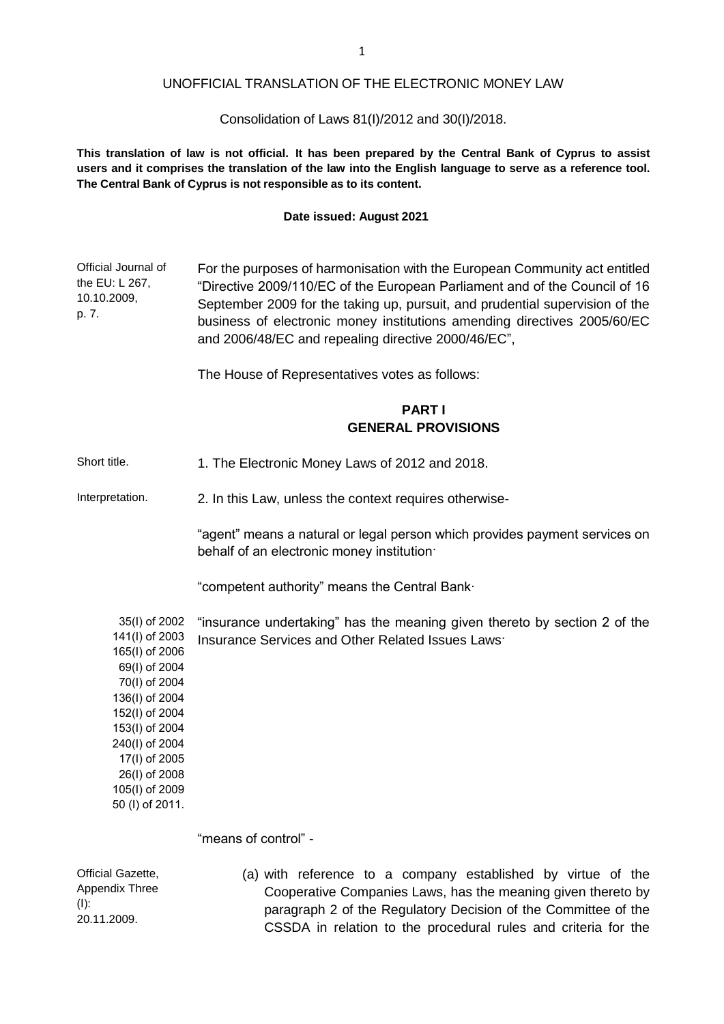### UNOFFICIAL TRANSLATION OF THE ELECTRONIC MONEY LAW

### Consolidation of Laws 81(I)/2012 and 30(I)/2018.

This translation of law is not official. It has been prepared by the Central Bank of Cyprus to assist **users and it comprises the translation of the law into the English language to serve as a reference tool. The Central Bank of Cyprus is not responsible as to its content.**

#### **Date issued: August 2021**

Official Journal of the EU: L 267, 10.10.2009, p. 7. For the purposes of harmonisation with the European Community act entitled "Directive 2009/110/EC of the European Parliament and of the Council of 16 September 2009 for the taking up, pursuit, and prudential supervision of the business of electronic money institutions amending directives 2005/60/EC and 2006/48/EC and repealing directive 2000/46/EC",

The House of Representatives votes as follows:

### **PART I GENERAL PROVISIONS**

Short title. 1. The Electronic Money Laws of 2012 and 2018.

Interpretation. 2. In this Law, unless the context requires otherwise-

"agent" means a natural or legal person which provides payment services on behalf of an electronic money institution·

"competent authority" means the Central Bank∙

35(Ι) of 2002 141(Ι) of 2003 "insurance undertaking" has the meaning given thereto by section 2 of the Insurance Services and Other Related Issues Laws·

165(Ι) of 2006 69(Ι) of 2004 70(Ι) of 2004 136(Ι) of 2004 152(Ι) of 2004 153(Ι) of 2004 240(Ι) of 2004 17(Ι) of 2005 26(Ι) of 2008 105(Ι) of 2009 50 (Ι) of 2011.

"means of control" -

Official Gazette, Appendix Three (Ι): 20.11.2009. (a) with reference to a company established by virtue of the Cooperative Companies Laws, has the meaning given thereto by paragraph 2 of the Regulatory Decision of the Committee of the CSSDA in relation to the procedural rules and criteria for the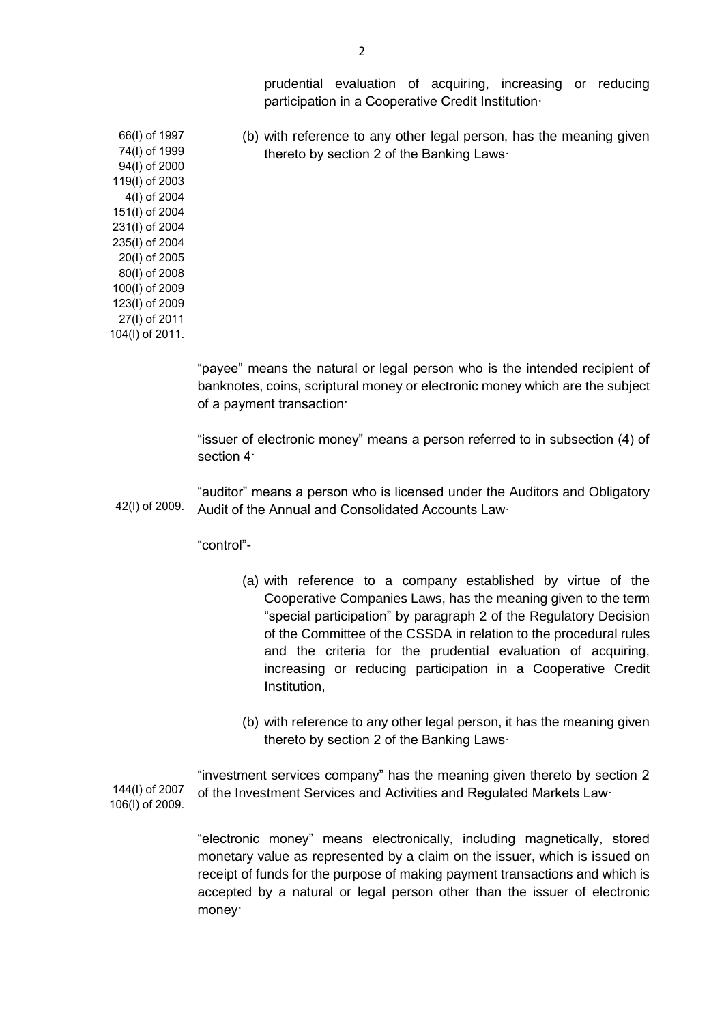prudential evaluation of acquiring, increasing or reducing participation in a Cooperative Credit Institution·

(b) with reference to any other legal person, has the meaning given thereto by section 2 of the Banking Laws·

66(Ι) of 1997 74(Ι) of 1999 94(Ι) of 2000 119(I) of 2003 4(Ι) of 2004 151(I) of 2004 231(Ι) of 2004 235(Ι) of 2004 20(Ι) of 2005 80(Ι) of 2008 100(Ι) of 2009 123(I) of 2009 27(Ι) of 2011 104(Ι) of 2011.

> "payee" means the natural or legal person who is the intended recipient of banknotes, coins, scriptural money or electronic money which are the subject of a payment transaction·

> "issuer of electronic money" means a person referred to in subsection (4) of section 4·

42(Ι) of 2009. "auditor" means a person who is licensed under the Auditors and Obligatory Audit of the Annual and Consolidated Accounts Law·

"control"-

- (a) with reference to a company established by virtue of the Cooperative Companies Laws, has the meaning given to the term "special participation" by paragraph 2 of the Regulatory Decision of the Committee of the CSSDA in relation to the procedural rules and the criteria for the prudential evaluation of acquiring, increasing or reducing participation in a Cooperative Credit Institution,
- (b) with reference to any other legal person, it has the meaning given thereto by section 2 of the Banking Laws·

144(Ι) of 2007 106(Ι) of 2009. "investment services company" has the meaning given thereto by section 2 of the Investment Services and Activities and Regulated Markets Law·

> "electronic money" means electronically, including magnetically, stored monetary value as represented by a claim on the issuer, which is issued on receipt of funds for the purpose of making payment transactions and which is accepted by a natural or legal person other than the issuer of electronic money·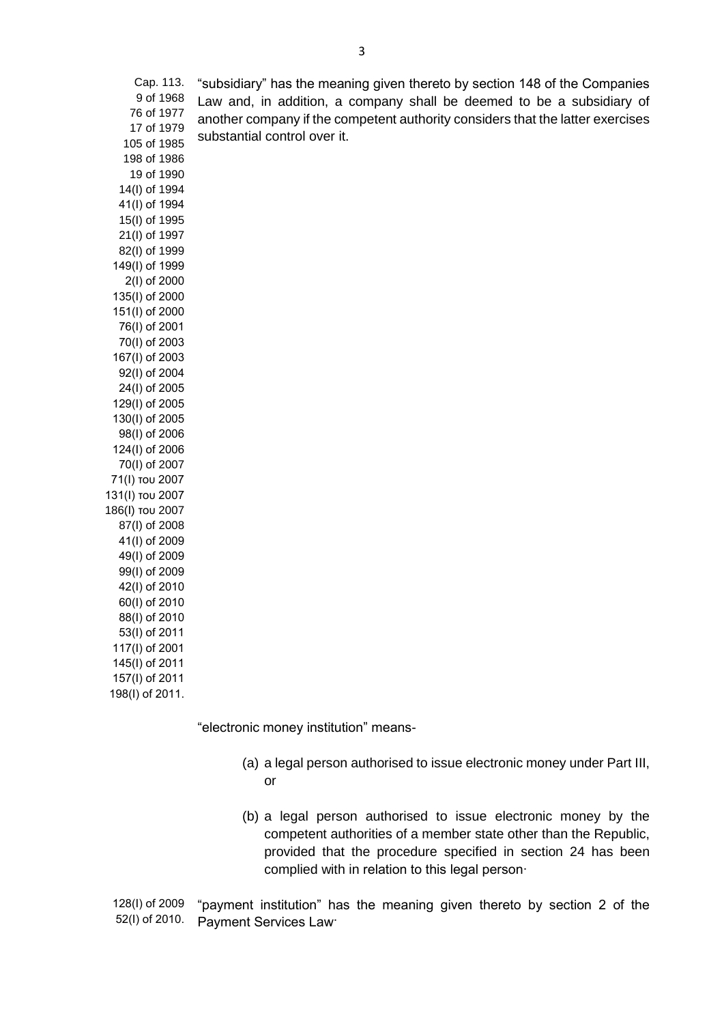Cap. 113. 9 of 1968 "subsidiary" has the meaning given thereto by section 148 of the Companies Law and, in addition, a company shall be deemed to be a subsidiary of another company if the competent authority considers that the latter exercises substantial control over it.

76 of 1977 17 of 1979 105 of 1985 198 of 1986 19 of 1990 14(I) of 1994 41(Ι) of 1994 15(I) of 1995 21(I) of 1997 82(I) of 1999 149(I) of 1999 2(Ι) of 2000 135(Ι) of 2000 151(Ι) of 2000 76(Ι) of 2001 70(Ι) of 2003 167(Ι) of 2003 92(Ι) of 2004 24(Ι) of 2005 129(Ι) of 2005 130(Ι) of 2005 98(Ι) of 2006 124(Ι) of 2006 70(Ι) of 2007 71(Ι) του 2007 131(Ι) του 2007 186(Ι) του 2007 87(Ι) of 2008 41(Ι) of 2009 49(Ι) of 2009 99(Ι) of 2009 42(Ι) of 2010 60(Ι) of 2010 88(Ι) of 2010 53(Ι) of 2011 117(Ι) of 2001 145(Ι) of 2011 157(I) of 2011

198(Ι) of 2011.

"electronic money institution" means-

- (a) a legal person authorised to issue electronic money under Part III, or
- (b) a legal person authorised to issue electronic money by the competent authorities of a member state other than the Republic, provided that the procedure specified in section 24 has been complied with in relation to this legal person·

128(Ι) of 2009 52(Ι) of 2010. "payment institution" has the meaning given thereto by section 2 of the Payment Services Law·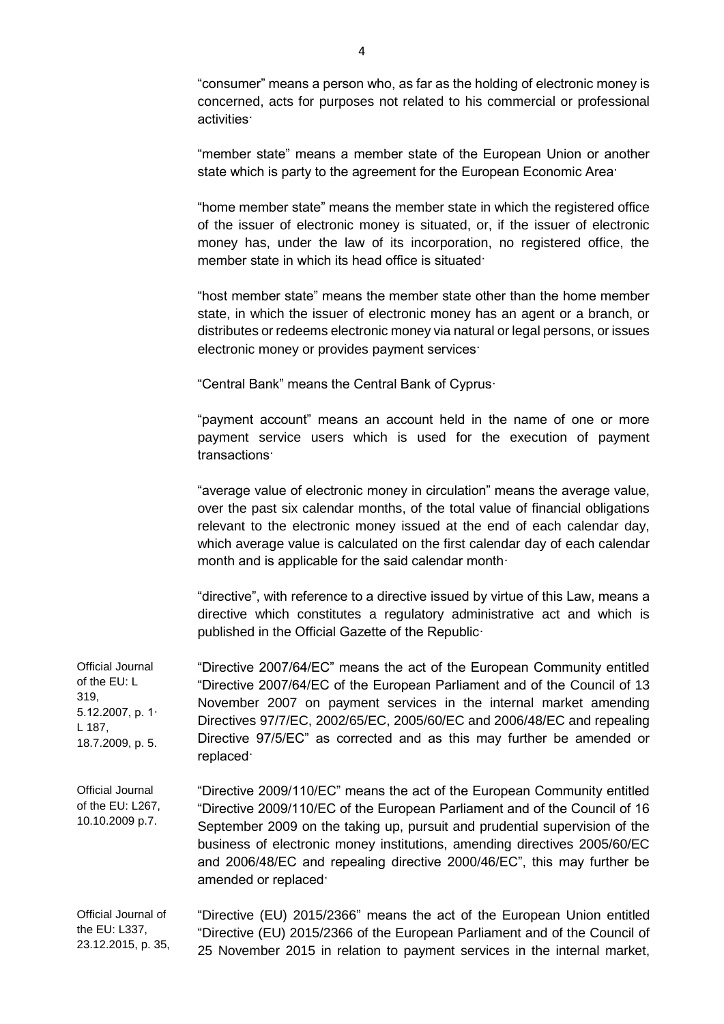"consumer" means a person who, as far as the holding of electronic money is concerned, acts for purposes not related to his commercial or professional activities·

"member state" means a member state of the European Union or another state which is party to the agreement for the European Economic Area·

"home member state" means the member state in which the registered office of the issuer of electronic money is situated, or, if the issuer of electronic money has, under the law of its incorporation, no registered office, the member state in which its head office is situated·

"host member state" means the member state other than the home member state, in which the issuer of electronic money has an agent or a branch, or distributes or redeems electronic money via natural or legal persons, or issues electronic money or provides payment services·

"Central Bank" means the Central Bank of Cyprus·

"payment account" means an account held in the name of one or more payment service users which is used for the execution of payment transactions·

"average value of electronic money in circulation" means the average value, over the past six calendar months, of the total value of financial obligations relevant to the electronic money issued at the end of each calendar day, which average value is calculated on the first calendar day of each calendar month and is applicable for the said calendar month·

"directive", with reference to a directive issued by virtue of this Law, means a directive which constitutes a regulatory administrative act and which is published in the Official Gazette of the Republic·

Official Journal of the EU: L 319, 5.12.2007, p. 1· L 187, 18.7.2009, p. 5. "Directive 2007/64/EC" means the act of the European Community entitled "Directive 2007/64/EC of the European Parliament and of the Council of 13 November 2007 on payment services in the internal market amending Directives 97/7/EC, 2002/65/EC, 2005/60/EC and 2006/48/EC and repealing Directive 97/5/EC" as corrected and as this may further be amended or replaced·

Official Journal of the EU: L267, 10.10.2009 p.7. "Directive 2009/110/EC" means the act of the European Community entitled "Directive 2009/110/EC of the European Parliament and of the Council of 16 September 2009 on the taking up, pursuit and prudential supervision of the business of electronic money institutions, amending directives 2005/60/EC and 2006/48/EC and repealing directive 2000/46/EC", this may further be amended or replaced·

Official Journal of the EU: L337, 23.12.2015, p. 35, "Directive (EU) 2015/2366" means the act of the European Union entitled "Directive (EU) 2015/2366 of the European Parliament and of the Council of 25 November 2015 in relation to payment services in the internal market,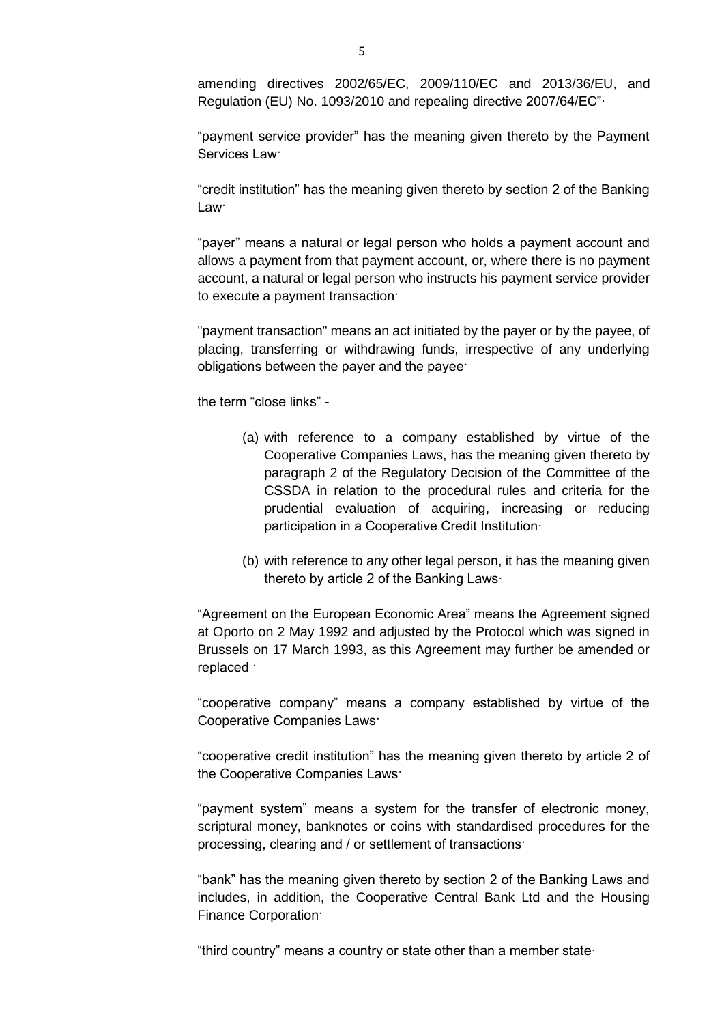amending directives 2002/65/EC, 2009/110/EC and 2013/36/EU, and Regulation (EU) No. 1093/2010 and repealing directive 2007/64/EC"∙

"payment service provider" has the meaning given thereto by the Payment Services Law·

"credit institution" has the meaning given thereto by section 2 of the Banking Law·

"payer" means a natural or legal person who holds a payment account and allows a payment from that payment account, or, where there is no payment account, a natural or legal person who instructs his payment service provider to execute a payment transaction·

"payment transaction" means an act initiated by the payer or by the payee, of placing, transferring or withdrawing funds, irrespective of any underlying obligations between the payer and the payee·

the term "close links" -

- (a) with reference to a company established by virtue of the Cooperative Companies Laws, has the meaning given thereto by paragraph 2 of the Regulatory Decision of the Committee of the CSSDA in relation to the procedural rules and criteria for the prudential evaluation of acquiring, increasing or reducing participation in a Cooperative Credit Institution·
- (b) with reference to any other legal person, it has the meaning given thereto by article 2 of the Banking Laws·

"Agreement on the European Economic Area" means the Agreement signed at Oporto on 2 May 1992 and adjusted by the Protocol which was signed in Brussels on 17 March 1993, as this Agreement may further be amended or replaced ·

"cooperative company" means a company established by virtue of the Cooperative Companies Laws·

"cooperative credit institution" has the meaning given thereto by article 2 of the Cooperative Companies Laws·

"payment system" means a system for the transfer of electronic money, scriptural money, banknotes or coins with standardised procedures for the processing, clearing and / or settlement of transactions·

"bank" has the meaning given thereto by section 2 of the Banking Laws and includes, in addition, the Cooperative Central Bank Ltd and the Housing Finance Corporation·

"third country" means a country or state other than a member state·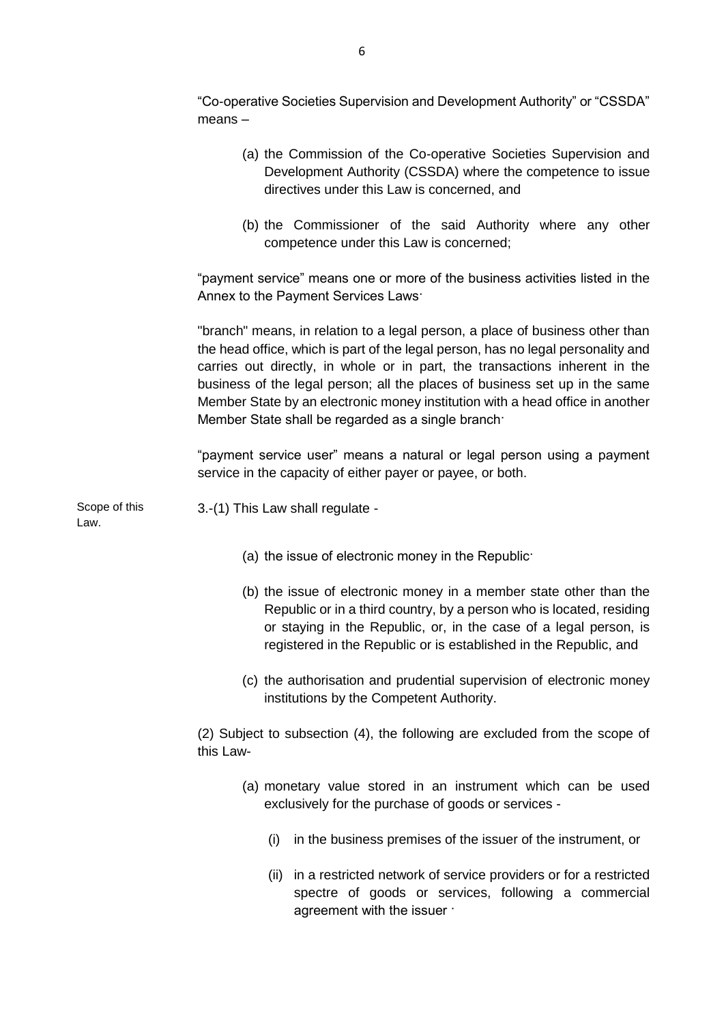"Co-operative Societies Supervision and Development Authority" or "CSSDA" means –

- (a) the Commission of the Co-operative Societies Supervision and Development Authority (CSSDA) where the competence to issue directives under this Law is concerned, and
- (b) the Commissioner of the said Authority where any other competence under this Law is concerned;

"payment service" means one or more of the business activities listed in the Annex to the Payment Services Laws·

"branch" means, in relation to a legal person, a place of business other than the head office, which is part of the legal person, has no legal personality and carries out directly, in whole or in part, the transactions inherent in the business of the legal person; all the places of business set up in the same Member State by an electronic money institution with a head office in another Member State shall be regarded as a single branch·

"payment service user" means a natural or legal person using a payment service in the capacity of either payer or payee, or both.

Scope of this Law.

3.-(1) This Law shall regulate -

- (a) the issue of electronic money in the Republic·
- (b) the issue of electronic money in a member state other than the Republic or in a third country, by a person who is located, residing or staying in the Republic, or, in the case of a legal person, is registered in the Republic or is established in the Republic, and
- (c) the authorisation and prudential supervision of electronic money institutions by the Competent Authority.

(2) Subject to subsection (4), the following are excluded from the scope of this Law-

- (a) monetary value stored in an instrument which can be used exclusively for the purchase of goods or services -
	- (i) in the business premises of the issuer of the instrument, or
	- (ii) in a restricted network of service providers or for a restricted spectre of goods or services, following a commercial agreement with the issuer ·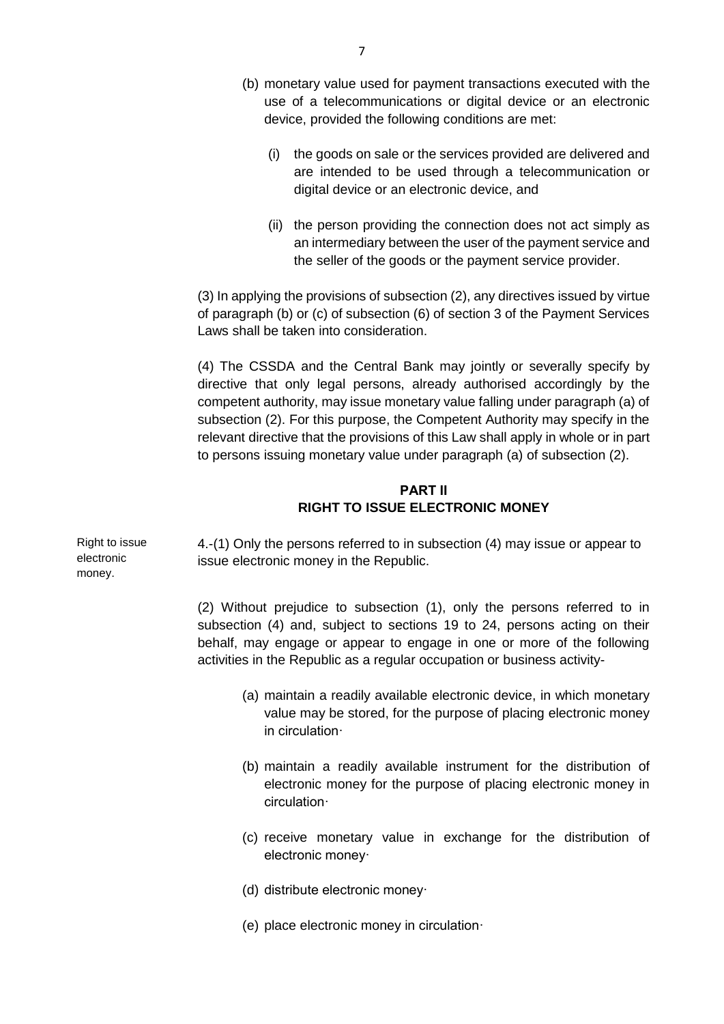- (b) monetary value used for payment transactions executed with the use of a telecommunications or digital device or an electronic device, provided the following conditions are met:
	- (i) the goods on sale or the services provided are delivered and are intended to be used through a telecommunication or digital device or an electronic device, and
	- (ii) the person providing the connection does not act simply as an intermediary between the user of the payment service and the seller of the goods or the payment service provider.

(3) In applying the provisions of subsection (2), any directives issued by virtue of paragraph (b) or (c) of subsection (6) of section 3 of the Payment Services Laws shall be taken into consideration.

(4) The CSSDA and the Central Bank may jointly or severally specify by directive that only legal persons, already authorised accordingly by the competent authority, may issue monetary value falling under paragraph (a) of subsection (2). For this purpose, the Competent Authority may specify in the relevant directive that the provisions of this Law shall apply in whole or in part to persons issuing monetary value under paragraph (a) of subsection (2).

## **PART ΙI RIGHT TO ISSUE ELECTRONIC MONEY**

4.-(1) Only the persons referred to in subsection (4) may issue or appear to issue electronic money in the Republic.

(2) Without prejudice to subsection (1), only the persons referred to in subsection (4) and, subject to sections 19 to 24, persons acting on their behalf, may engage or appear to engage in one or more of the following activities in the Republic as a regular occupation or business activity-

- (a) maintain a readily available electronic device, in which monetary value may be stored, for the purpose of placing electronic money in circulation·
- (b) maintain a readily available instrument for the distribution of electronic money for the purpose of placing electronic money in circulation·
- (c) receive monetary value in exchange for the distribution of electronic money·
- (d) distribute electronic money·
- (e) place electronic money in circulation·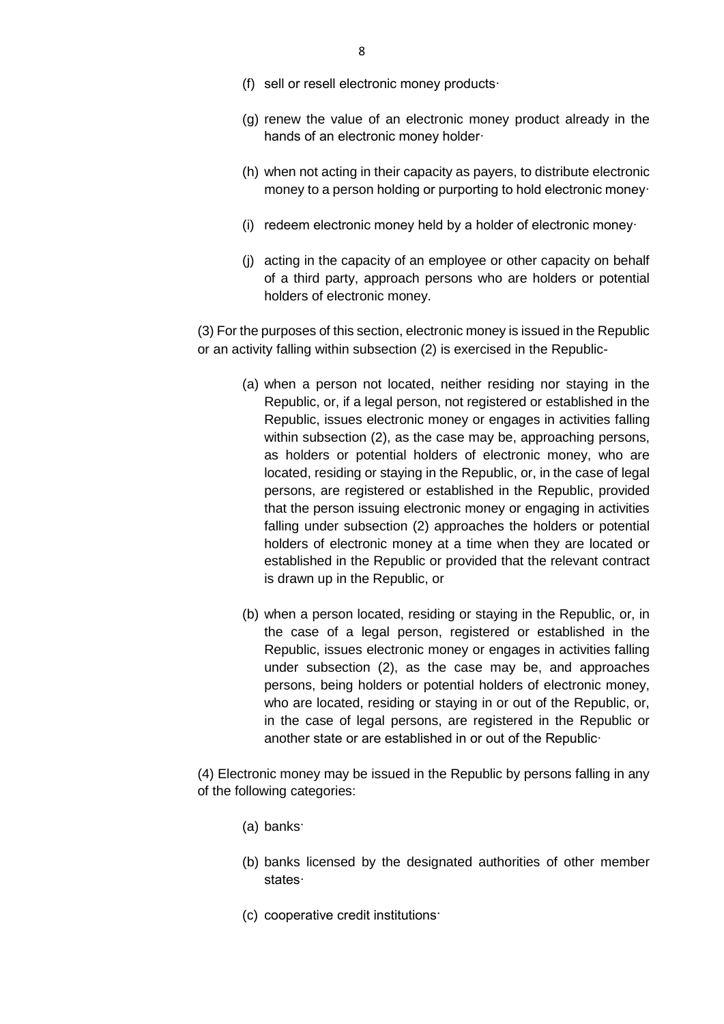- (f) sell or resell electronic money products·
- (g) renew the value of an electronic money product already in the hands of an electronic money holder·
- (h) when not acting in their capacity as payers, to distribute electronic money to a person holding or purporting to hold electronic money·
- (i) redeem electronic money held by a holder of electronic money·
- (j) acting in the capacity of an employee or other capacity on behalf of a third party, approach persons who are holders or potential holders of electronic money.

(3) For the purposes of this section, electronic money is issued in the Republic or an activity falling within subsection (2) is exercised in the Republic-

- (a) when a person not located, neither residing nor staying in the Republic, or, if a legal person, not registered or established in the Republic, issues electronic money or engages in activities falling within subsection (2), as the case may be, approaching persons, as holders or potential holders of electronic money, who are located, residing or staying in the Republic, or, in the case of legal persons, are registered or established in the Republic, provided that the person issuing electronic money or engaging in activities falling under subsection (2) approaches the holders or potential holders of electronic money at a time when they are located or established in the Republic or provided that the relevant contract is drawn up in the Republic, or
- (b) when a person located, residing or staying in the Republic, or, in the case of a legal person, registered or established in the Republic, issues electronic money or engages in activities falling under subsection (2), as the case may be, and approaches persons, being holders or potential holders of electronic money, who are located, residing or staying in or out of the Republic, or, in the case of legal persons, are registered in the Republic or another state or are established in or out of the Republic·

(4) Electronic money may be issued in the Republic by persons falling in any of the following categories:

- (a) banks·
- (b) banks licensed by the designated authorities of other member states·
- (c) cooperative credit institutions·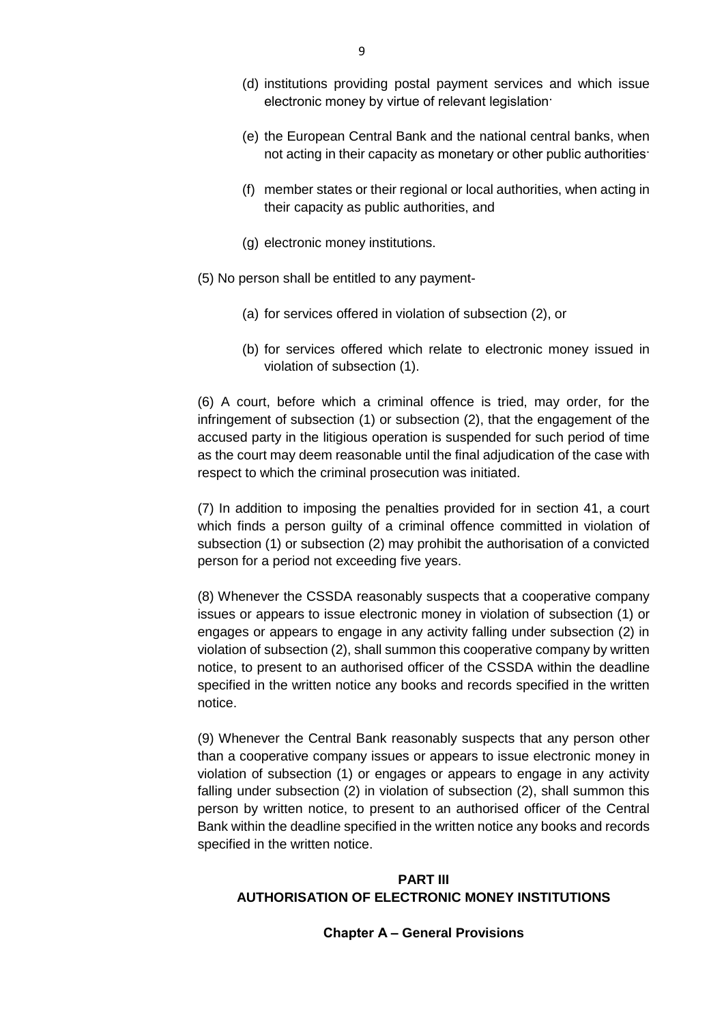- (d) institutions providing postal payment services and which issue electronic money by virtue of relevant legislation·
- (e) the European Central Bank and the national central banks, when not acting in their capacity as monetary or other public authorities·
- (f) member states or their regional or local authorities, when acting in their capacity as public authorities, and
- (g) electronic money institutions.
- (5) No person shall be entitled to any payment-
	- (a) for services offered in violation of subsection (2), or
	- (b) for services offered which relate to electronic money issued in violation of subsection (1).

(6) A court, before which a criminal offence is tried, may order, for the infringement of subsection (1) or subsection (2), that the engagement of the accused party in the litigious operation is suspended for such period of time as the court may deem reasonable until the final adjudication of the case with respect to which the criminal prosecution was initiated.

(7) In addition to imposing the penalties provided for in section 41, a court which finds a person quilty of a criminal offence committed in violation of subsection (1) or subsection (2) may prohibit the authorisation of a convicted person for a period not exceeding five years.

(8) Whenever the CSSDA reasonably suspects that a cooperative company issues or appears to issue electronic money in violation of subsection (1) or engages or appears to engage in any activity falling under subsection (2) in violation of subsection (2), shall summon this cooperative company by written notice, to present to an authorised officer of the CSSDA within the deadline specified in the written notice any books and records specified in the written notice.

(9) Whenever the Central Bank reasonably suspects that any person other than a cooperative company issues or appears to issue electronic money in violation of subsection (1) or engages or appears to engage in any activity falling under subsection (2) in violation of subsection (2), shall summon this person by written notice, to present to an authorised officer of the Central Bank within the deadline specified in the written notice any books and records specified in the written notice.

## **PART III AUTHORISATION OF ELECTRONIC MONEY INSTITUTIONS**

### **Chapter Α – General Provisions**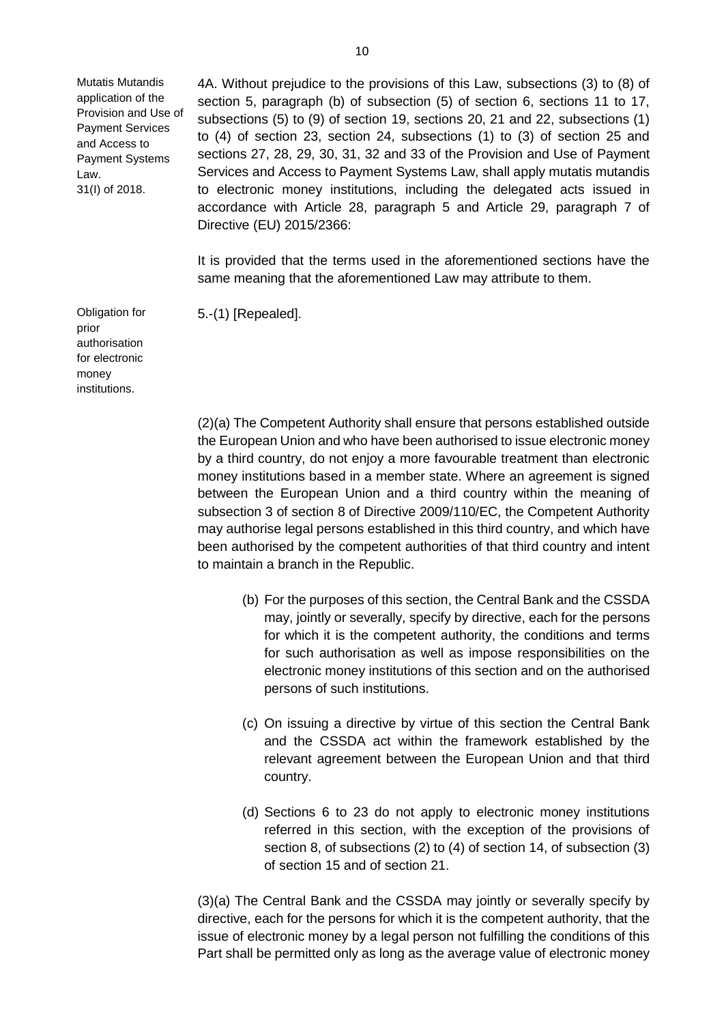Mutatis Mutandis application of the Provision and Use of Payment Services and Access to Payment Systems Law. 31(I) of 2018.

Obligation for

authorisation for electronic money institutions.

prior

4A. Without prejudice to the provisions of this Law, subsections (3) to (8) of section 5, paragraph (b) of subsection (5) of section 6, sections 11 to 17, subsections (5) to (9) of section 19, sections 20, 21 and 22, subsections (1) to (4) of section 23, section 24, subsections (1) to (3) of section 25 and sections 27, 28, 29, 30, 31, 32 and 33 of the Provision and Use of Payment Services and Access to Payment Systems Law, shall apply mutatis mutandis to electronic money institutions, including the delegated acts issued in accordance with Article 28, paragraph 5 and Article 29, paragraph 7 of Directive (EU) 2015/2366:

It is provided that the terms used in the aforementioned sections have the same meaning that the aforementioned Law may attribute to them.

5.-(1) [Repealed].

(2)(a) The Competent Authority shall ensure that persons established outside the European Union and who have been authorised to issue electronic money by a third country, do not enjoy a more favourable treatment than electronic money institutions based in a member state. Where an agreement is signed between the European Union and a third country within the meaning of subsection 3 of section 8 of Directive 2009/110/EC, the Competent Authority may authorise legal persons established in this third country, and which have been authorised by the competent authorities of that third country and intent to maintain a branch in the Republic.

- (b) For the purposes of this section, the Central Bank and the CSSDA may, jointly or severally, specify by directive, each for the persons for which it is the competent authority, the conditions and terms for such authorisation as well as impose responsibilities on the electronic money institutions of this section and on the authorised persons of such institutions.
- (c) On issuing a directive by virtue of this section the Central Bank and the CSSDA act within the framework established by the relevant agreement between the European Union and that third country.
- (d) Sections 6 to 23 do not apply to electronic money institutions referred in this section, with the exception of the provisions of section 8, of subsections (2) to (4) of section 14, of subsection (3) of section 15 and of section 21.

(3)(a) The Central Bank and the CSSDA may jointly or severally specify by directive, each for the persons for which it is the competent authority, that the issue of electronic money by a legal person not fulfilling the conditions of this Part shall be permitted only as long as the average value of electronic money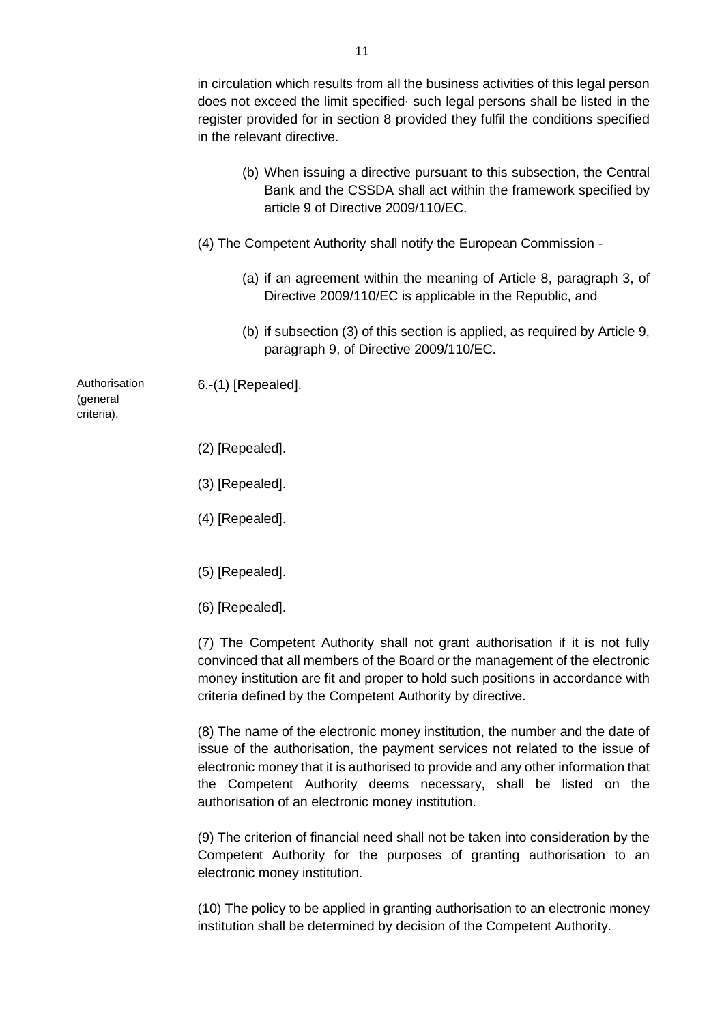|                                         | in circulation which results from all the business activities of this legal person<br>does not exceed the limit specified such legal persons shall be listed in the<br>register provided for in section 8 provided they fulfil the conditions specified<br>in the relevant directive. |
|-----------------------------------------|---------------------------------------------------------------------------------------------------------------------------------------------------------------------------------------------------------------------------------------------------------------------------------------|
|                                         | (b) When issuing a directive pursuant to this subsection, the Central<br>Bank and the CSSDA shall act within the framework specified by<br>article 9 of Directive 2009/110/EC.                                                                                                        |
|                                         | (4) The Competent Authority shall notify the European Commission -                                                                                                                                                                                                                    |
|                                         | (a) if an agreement within the meaning of Article 8, paragraph 3, of<br>Directive 2009/110/EC is applicable in the Republic, and                                                                                                                                                      |
|                                         | (b) if subsection (3) of this section is applied, as required by Article 9,<br>paragraph 9, of Directive 2009/110/EC.                                                                                                                                                                 |
| Authorisation<br>(general<br>criteria). | 6.-(1) [Repealed].                                                                                                                                                                                                                                                                    |
|                                         | (2) [Repealed].                                                                                                                                                                                                                                                                       |
|                                         | (3) [Repealed].                                                                                                                                                                                                                                                                       |

- (4) [Repealed].
- (5) [Repealed].
- (6) [Repealed].

(7) The Competent Authority shall not grant authorisation if it is not fully convinced that all members of the Board or the management of the electronic money institution are fit and proper to hold such positions in accordance with criteria defined by the Competent Authority by directive.

(8) The name of the electronic money institution, the number and the date of issue of the authorisation, the payment services not related to the issue of electronic money that it is authorised to provide and any other information that the Competent Authority deems necessary, shall be listed on the authorisation of an electronic money institution.

(9) The criterion of financial need shall not be taken into consideration by the Competent Authority for the purposes of granting authorisation to an electronic money institution.

(10) The policy to be applied in granting authorisation to an electronic money institution shall be determined by decision of the Competent Authority.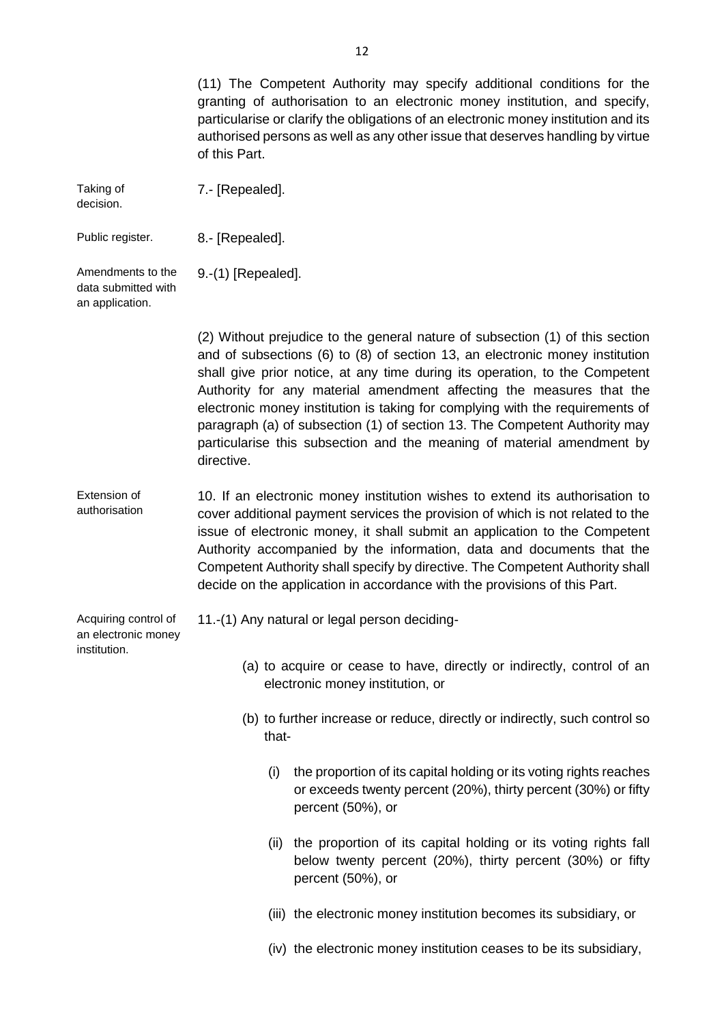(11) The Competent Authority may specify additional conditions for the granting of authorisation to an electronic money institution, and specify, particularise or clarify the obligations of an electronic money institution and its authorised persons as well as any other issue that deserves handling by virtue of this Part. Taking of decision. 7.- [Repealed]. Public register. 8.- [Repealed]. Amendments to the data submitted with an application. 9.-(1) [Repealed]. (2) Without prejudice to the general nature of subsection (1) of this section and of subsections (6) to (8) of section 13, an electronic money institution shall give prior notice, at any time during its operation, to the Competent Authority for any material amendment affecting the measures that the electronic money institution is taking for complying with the requirements of paragraph (a) of subsection (1) of section 13. The Competent Authority may particularise this subsection and the meaning of material amendment by directive. Extension of authorisation 10. If an electronic money institution wishes to extend its authorisation to cover additional payment services the provision of which is not related to the issue of electronic money, it shall submit an application to the Competent Authority accompanied by the information, data and documents that the Competent Authority shall specify by directive. The Competent Authority shall decide on the application in accordance with the provisions of this Part. Acquiring control of an electronic money institution. 11.-(1) Any natural or legal person deciding- (a) to acquire or cease to have, directly or indirectly, control of an electronic money institution, or (b) to further increase or reduce, directly or indirectly, such control so that- (i) the proportion of its capital holding or its voting rights reaches or exceeds twenty percent (20%), thirty percent (30%) or fifty percent (50%), or (ii) the proportion of its capital holding or its voting rights fall below twenty percent (20%), thirty percent (30%) or fifty percent (50%), or (iii) the electronic money institution becomes its subsidiary, or (iv) the electronic money institution ceases to be its subsidiary,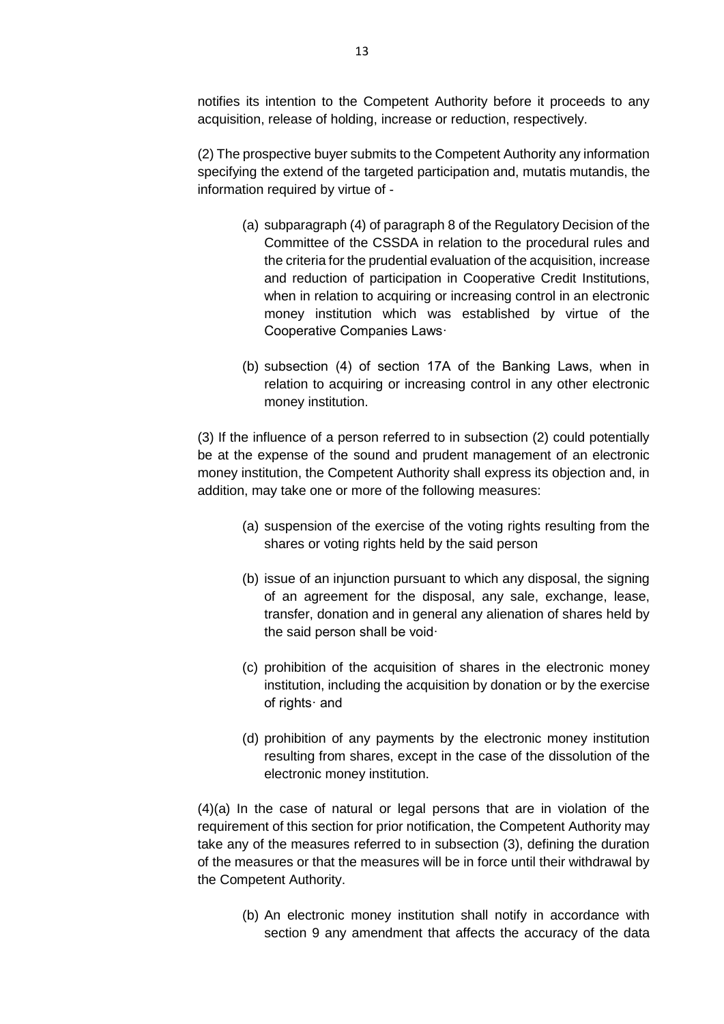notifies its intention to the Competent Authority before it proceeds to any acquisition, release of holding, increase or reduction, respectively.

(2) The prospective buyer submits to the Competent Authority any information specifying the extend of the targeted participation and, mutatis mutandis, the information required by virtue of -

- (a) subparagraph (4) of paragraph 8 of the Regulatory Decision of the Committee of the CSSDA in relation to the procedural rules and the criteria for the prudential evaluation of the acquisition, increase and reduction of participation in Cooperative Credit Institutions, when in relation to acquiring or increasing control in an electronic money institution which was established by virtue of the Cooperative Companies Laws·
- (b) subsection (4) of section 17Α of the Banking Laws, when in relation to acquiring or increasing control in any other electronic money institution.

(3) If the influence of a person referred to in subsection (2) could potentially be at the expense of the sound and prudent management of an electronic money institution, the Competent Authority shall express its objection and, in addition, may take one or more of the following measures:

- (a) suspension of the exercise of the voting rights resulting from the shares or voting rights held by the said person
- (b) issue of an injunction pursuant to which any disposal, the signing of an agreement for the disposal, any sale, exchange, lease, transfer, donation and in general any alienation of shares held by the said person shall be void·
- (c) prohibition of the acquisition of shares in the electronic money institution, including the acquisition by donation or by the exercise of rights· and
- (d) prohibition of any payments by the electronic money institution resulting from shares, except in the case of the dissolution of the electronic money institution.

 $(4)(a)$  In the case of natural or legal persons that are in violation of the requirement of this section for prior notification, the Competent Authority may take any of the measures referred to in subsection (3), defining the duration of the measures or that the measures will be in force until their withdrawal by the Competent Authority.

(b) An electronic money institution shall notify in accordance with section 9 any amendment that affects the accuracy of the data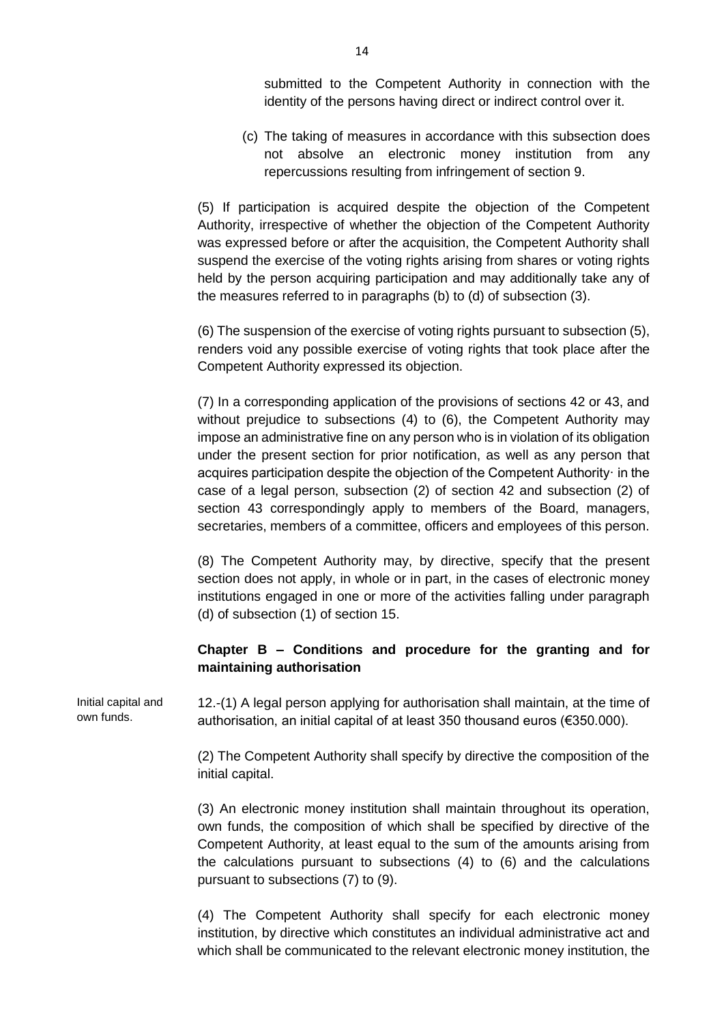submitted to the Competent Authority in connection with the identity of the persons having direct or indirect control over it.

(c) The taking of measures in accordance with this subsection does not absolve an electronic money institution from any repercussions resulting from infringement of section 9.

(5) If participation is acquired despite the objection of the Competent Authority, irrespective of whether the objection of the Competent Authority was expressed before or after the acquisition, the Competent Authority shall suspend the exercise of the voting rights arising from shares or voting rights held by the person acquiring participation and may additionally take any of the measures referred to in paragraphs (b) to (d) of subsection (3).

(6) The suspension of the exercise of voting rights pursuant to subsection (5), renders void any possible exercise of voting rights that took place after the Competent Authority expressed its objection.

(7) In a corresponding application of the provisions of sections 42 or 43, and without prejudice to subsections (4) to (6), the Competent Authority may impose an administrative fine on any person who is in violation of its obligation under the present section for prior notification, as well as any person that acquires participation despite the objection of the Competent Authority· in the case of a legal person, subsection (2) of section 42 and subsection (2) of section 43 correspondingly apply to members of the Board, managers, secretaries, members of a committee, officers and employees of this person.

(8) The Competent Authority may, by directive, specify that the present section does not apply, in whole or in part, in the cases of electronic money institutions engaged in one or more of the activities falling under paragraph (d) of subsection (1) of section 15.

## **Chapter B – Conditions and procedure for the granting and for maintaining authorisation**

Initial capital and own funds. 12.-(1) A legal person applying for authorisation shall maintain, at the time of authorisation, an initial capital of at least 350 thousand euros (€350.000).

> (2) The Competent Authority shall specify by directive the composition of the initial capital.

> (3) An electronic money institution shall maintain throughout its operation, own funds, the composition of which shall be specified by directive of the Competent Authority, at least equal to the sum of the amounts arising from the calculations pursuant to subsections (4) to (6) and the calculations pursuant to subsections (7) to (9).

> (4) The Competent Authority shall specify for each electronic money institution, by directive which constitutes an individual administrative act and which shall be communicated to the relevant electronic money institution, the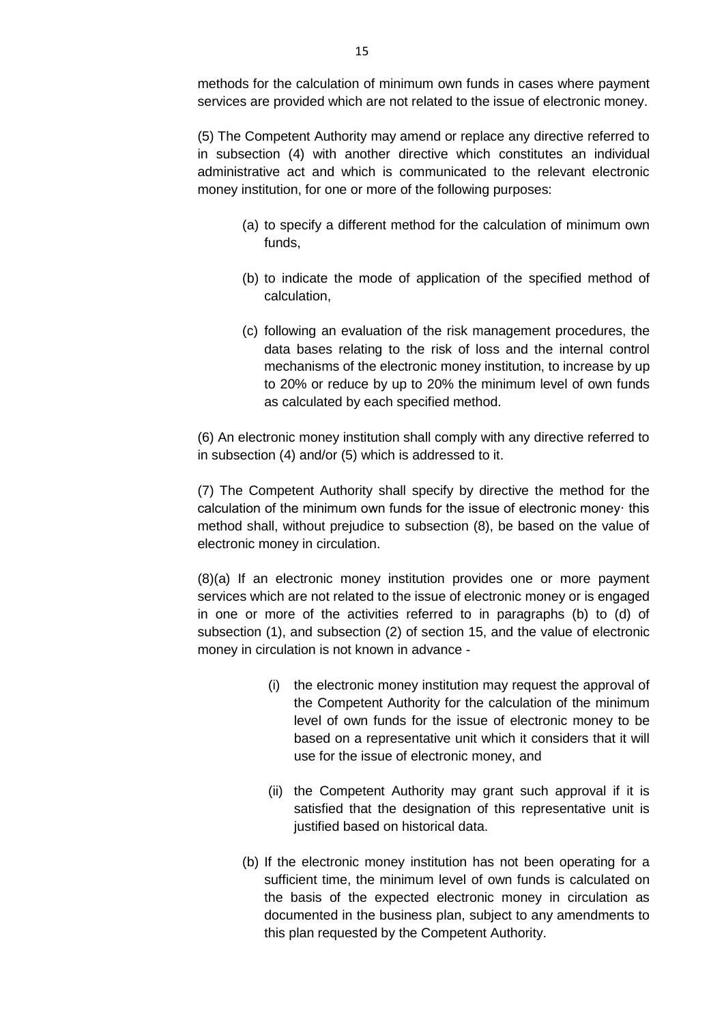methods for the calculation of minimum own funds in cases where payment services are provided which are not related to the issue of electronic money.

(5) The Competent Authority may amend or replace any directive referred to in subsection (4) with another directive which constitutes an individual administrative act and which is communicated to the relevant electronic money institution, for one or more of the following purposes:

- (a) to specify a different method for the calculation of minimum own funds,
- (b) to indicate the mode of application of the specified method of calculation,
- (c) following an evaluation of the risk management procedures, the data bases relating to the risk of loss and the internal control mechanisms of the electronic money institution, to increase by up to 20% or reduce by up to 20% the minimum level of own funds as calculated by each specified method.

(6) An electronic money institution shall comply with any directive referred to in subsection (4) and/or (5) which is addressed to it.

(7) The Competent Authority shall specify by directive the method for the calculation of the minimum own funds for the issue of electronic money· this method shall, without prejudice to subsection (8), be based on the value of electronic money in circulation.

(8)(a) If an electronic money institution provides one or more payment services which are not related to the issue of electronic money or is engaged in one or more of the activities referred to in paragraphs (b) to (d) of subsection (1), and subsection (2) of section 15, and the value of electronic money in circulation is not known in advance -

- (i) the electronic money institution may request the approval of the Competent Authority for the calculation of the minimum level of own funds for the issue of electronic money to be based on a representative unit which it considers that it will use for the issue of electronic money, and
- (ii) the Competent Authority may grant such approval if it is satisfied that the designation of this representative unit is justified based on historical data.
- (b) If the electronic money institution has not been operating for a sufficient time, the minimum level of own funds is calculated on the basis of the expected electronic money in circulation as documented in the business plan, subject to any amendments to this plan requested by the Competent Authority.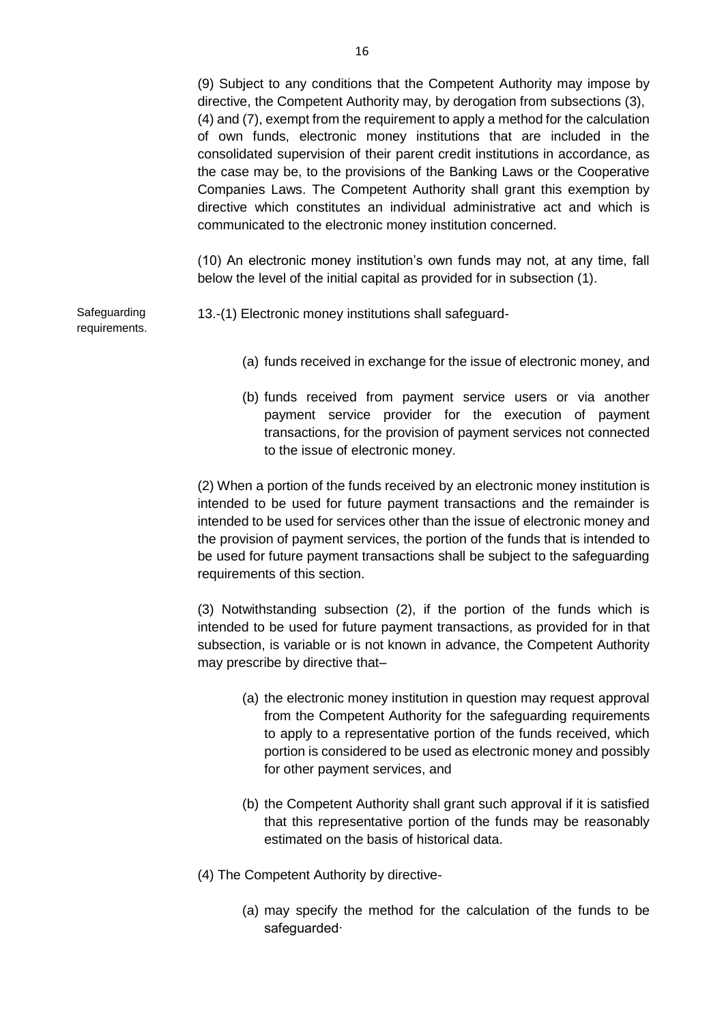(9) Subject to any conditions that the Competent Authority may impose by directive, the Competent Authority may, by derogation from subsections (3), (4) and (7), exempt from the requirement to apply a method for the calculation of own funds, electronic money institutions that are included in the consolidated supervision of their parent credit institutions in accordance, as the case may be, to the provisions of the Banking Laws or the Cooperative Companies Laws. The Competent Authority shall grant this exemption by directive which constitutes an individual administrative act and which is communicated to the electronic money institution concerned.

(10) An electronic money institution's own funds may not, at any time, fall below the level of the initial capital as provided for in subsection (1).

**Safeguarding** requirements.

- 13.-(1) Electronic money institutions shall safeguard-
	- (a) funds received in exchange for the issue of electronic money, and
	- (b) funds received from payment service users or via another payment service provider for the execution of payment transactions, for the provision of payment services not connected to the issue of electronic money.

(2) When a portion of the funds received by an electronic money institution is intended to be used for future payment transactions and the remainder is intended to be used for services other than the issue of electronic money and the provision of payment services, the portion of the funds that is intended to be used for future payment transactions shall be subject to the safeguarding requirements of this section.

(3) Notwithstanding subsection (2), if the portion of the funds which is intended to be used for future payment transactions, as provided for in that subsection, is variable or is not known in advance, the Competent Authority may prescribe by directive that–

- (a) the electronic money institution in question may request approval from the Competent Authority for the safeguarding requirements to apply to a representative portion of the funds received, which portion is considered to be used as electronic money and possibly for other payment services, and
- (b) the Competent Authority shall grant such approval if it is satisfied that this representative portion of the funds may be reasonably estimated on the basis of historical data.
- (4) The Competent Authority by directive-
	- (a) may specify the method for the calculation of the funds to be safeguarded·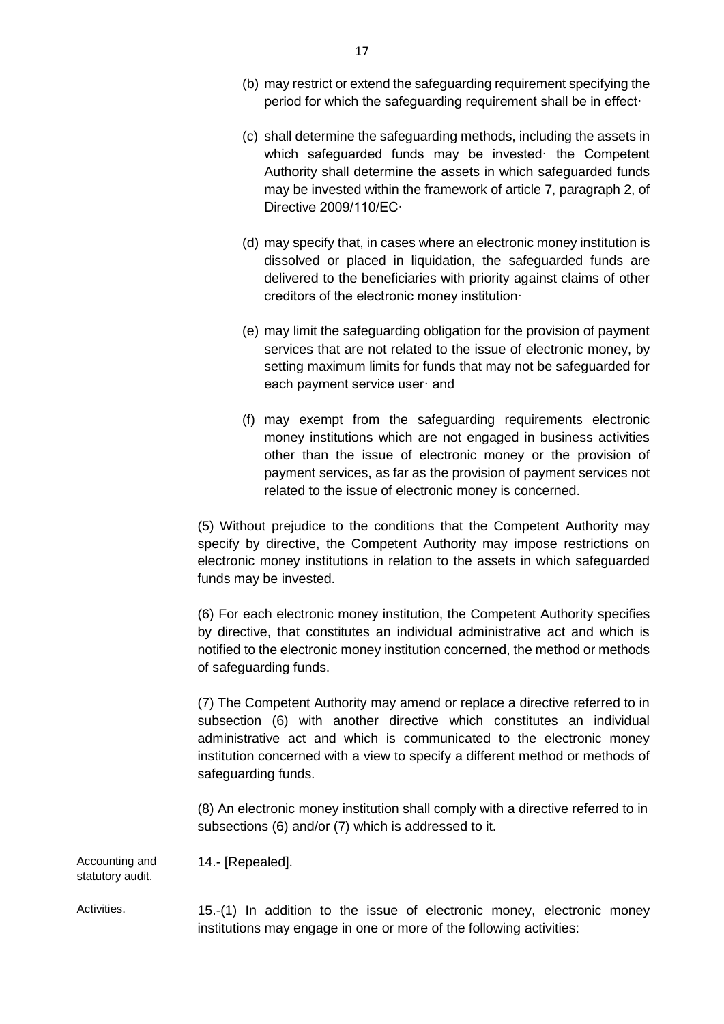- (b) may restrict or extend the safeguarding requirement specifying the period for which the safeguarding requirement shall be in effect·
- (c) shall determine the safeguarding methods, including the assets in which safeguarded funds may be invested the Competent Authority shall determine the assets in which safeguarded funds may be invested within the framework of article 7, paragraph 2, of Directive 2009/110/EC·
- (d) may specify that, in cases where an electronic money institution is dissolved or placed in liquidation, the safeguarded funds are delivered to the beneficiaries with priority against claims of other creditors of the electronic money institution·
- (e) may limit the safeguarding obligation for the provision of payment services that are not related to the issue of electronic money, by setting maximum limits for funds that may not be safeguarded for each payment service user· and
- (f) may exempt from the safeguarding requirements electronic money institutions which are not engaged in business activities other than the issue of electronic money or the provision of payment services, as far as the provision of payment services not related to the issue of electronic money is concerned.

(5) Without prejudice to the conditions that the Competent Authority may specify by directive, the Competent Authority may impose restrictions on electronic money institutions in relation to the assets in which safeguarded funds may be invested.

(6) For each electronic money institution, the Competent Authority specifies by directive, that constitutes an individual administrative act and which is notified to the electronic money institution concerned, the method or methods of safeguarding funds.

(7) The Competent Authority may amend or replace a directive referred to in subsection (6) with another directive which constitutes an individual administrative act and which is communicated to the electronic money institution concerned with a view to specify a different method or methods of safeguarding funds.

(8) An electronic money institution shall comply with a directive referred to in subsections (6) and/or (7) which is addressed to it.

Accounting and statutory audit. 14.- [Repealed].

Activities. 15.-(1) In addition to the issue of electronic money, electronic money institutions may engage in one or more of the following activities: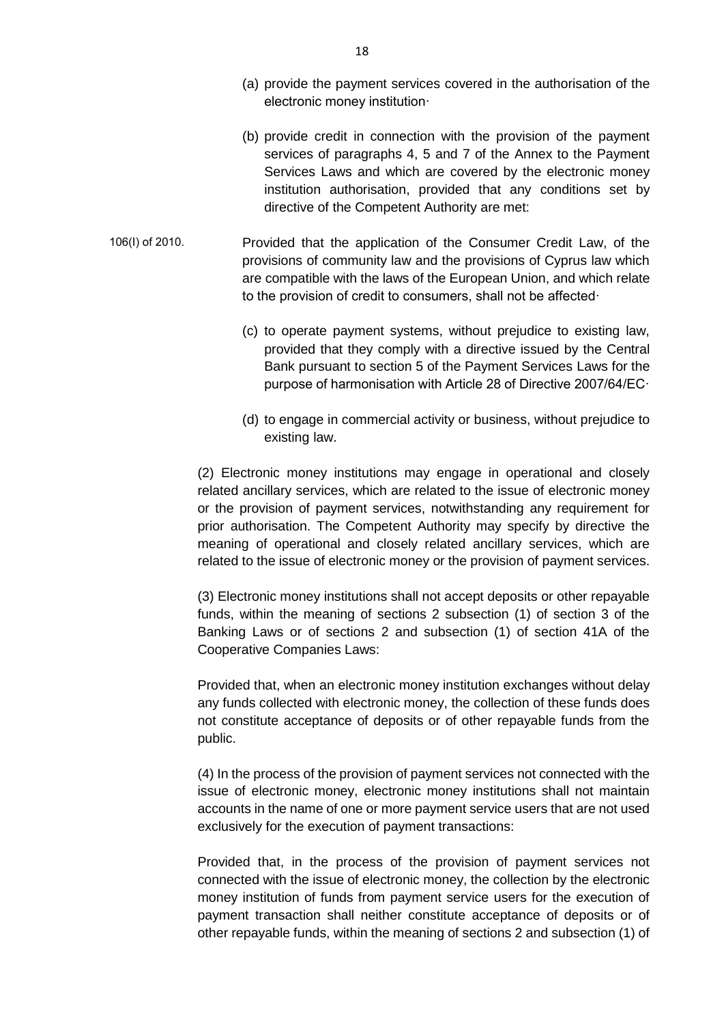- (a) provide the payment services covered in the authorisation of the electronic money institution·
- (b) provide credit in connection with the provision of the payment services of paragraphs 4, 5 and 7 of the Annex to the Payment Services Laws and which are covered by the electronic money institution authorisation, provided that any conditions set by directive of the Competent Authority are met:
- 106(Ι) of 2010. Provided that the application of the Consumer Credit Law, of the provisions of community law and the provisions of Cyprus law which are compatible with the laws of the European Union, and which relate to the provision of credit to consumers, shall not be affected·
	- (c) to operate payment systems, without prejudice to existing law, provided that they comply with a directive issued by the Central Bank pursuant to section 5 of the Payment Services Laws for the purpose of harmonisation with Article 28 of Directive 2007/64/EC·
	- (d) to engage in commercial activity or business, without prejudice to existing law.

(2) Electronic money institutions may engage in operational and closely related ancillary services, which are related to the issue of electronic money or the provision of payment services, notwithstanding any requirement for prior authorisation. The Competent Authority may specify by directive the meaning of operational and closely related ancillary services, which are related to the issue of electronic money or the provision of payment services.

(3) Electronic money institutions shall not accept deposits or other repayable funds, within the meaning of sections 2 subsection (1) of section 3 of the Banking Laws or of sections 2 and subsection (1) of section 41A of the Cooperative Companies Laws:

Provided that, when an electronic money institution exchanges without delay any funds collected with electronic money, the collection of these funds does not constitute acceptance of deposits or of other repayable funds from the public.

(4) In the process of the provision of payment services not connected with the issue of electronic money, electronic money institutions shall not maintain accounts in the name of one or more payment service users that are not used exclusively for the execution of payment transactions:

Provided that, in the process of the provision of payment services not connected with the issue of electronic money, the collection by the electronic money institution of funds from payment service users for the execution of payment transaction shall neither constitute acceptance of deposits or of other repayable funds, within the meaning of sections 2 and subsection (1) of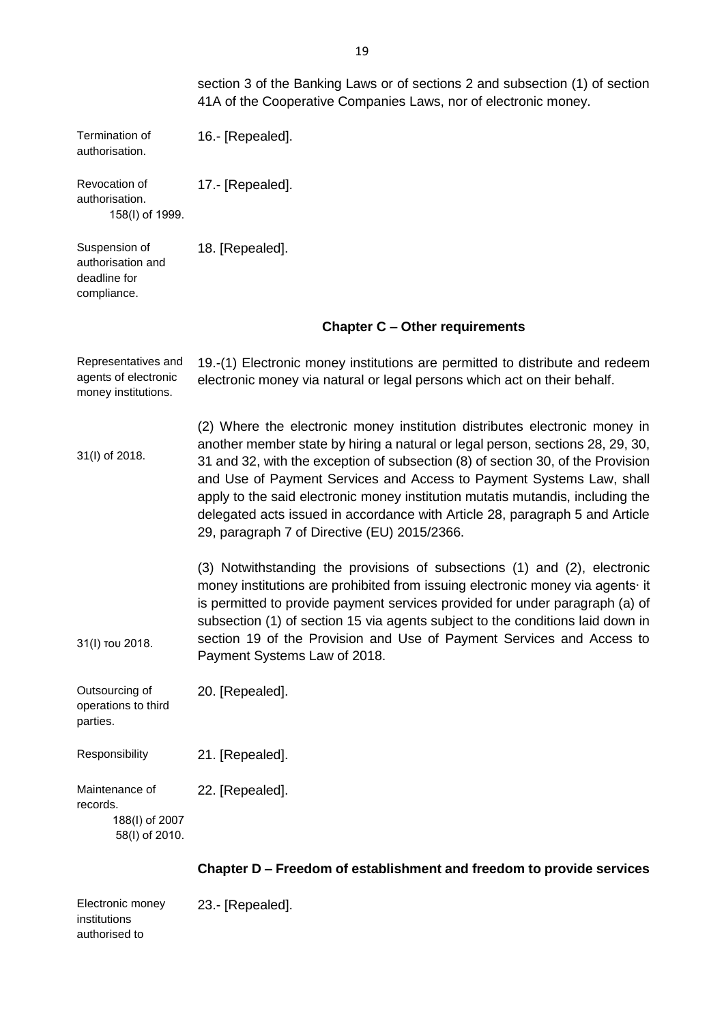|                                                                    | section 3 of the Banking Laws or of sections 2 and subsection (1) of section<br>41A of the Cooperative Companies Laws, nor of electronic money.                                                                                                                                                                                                                                                                                                                                                                                           |
|--------------------------------------------------------------------|-------------------------------------------------------------------------------------------------------------------------------------------------------------------------------------------------------------------------------------------------------------------------------------------------------------------------------------------------------------------------------------------------------------------------------------------------------------------------------------------------------------------------------------------|
| Termination of<br>authorisation.                                   | 16.- [Repealed].                                                                                                                                                                                                                                                                                                                                                                                                                                                                                                                          |
| Revocation of<br>authorisation.<br>158(I) of 1999.                 | 17.- [Repealed].                                                                                                                                                                                                                                                                                                                                                                                                                                                                                                                          |
| Suspension of<br>authorisation and<br>deadline for<br>compliance.  | 18. [Repealed].                                                                                                                                                                                                                                                                                                                                                                                                                                                                                                                           |
|                                                                    | <b>Chapter C - Other requirements</b>                                                                                                                                                                                                                                                                                                                                                                                                                                                                                                     |
| Representatives and<br>agents of electronic<br>money institutions. | 19.-(1) Electronic money institutions are permitted to distribute and redeem<br>electronic money via natural or legal persons which act on their behalf.                                                                                                                                                                                                                                                                                                                                                                                  |
| 31(I) of 2018.                                                     | (2) Where the electronic money institution distributes electronic money in<br>another member state by hiring a natural or legal person, sections 28, 29, 30,<br>31 and 32, with the exception of subsection (8) of section 30, of the Provision<br>and Use of Payment Services and Access to Payment Systems Law, shall<br>apply to the said electronic money institution mutatis mutandis, including the<br>delegated acts issued in accordance with Article 28, paragraph 5 and Article<br>29, paragraph 7 of Directive (EU) 2015/2366. |
| 31(I) TOU 2018.                                                    | (3) Notwithstanding the provisions of subsections (1) and (2), electronic<br>money institutions are prohibited from issuing electronic money via agents it<br>is permitted to provide payment services provided for under paragraph (a) of<br>subsection (1) of section 15 via agents subject to the conditions laid down in<br>section 19 of the Provision and Use of Payment Services and Access to<br>Payment Systems Law of 2018.                                                                                                     |
| Outsourcing of<br>operations to third<br>parties.                  | 20. [Repealed].                                                                                                                                                                                                                                                                                                                                                                                                                                                                                                                           |
| Responsibility                                                     | 21. [Repealed].                                                                                                                                                                                                                                                                                                                                                                                                                                                                                                                           |
| Maintenance of<br>records.<br>188(I) of 2007<br>58(I) of 2010.     | 22. [Repealed].                                                                                                                                                                                                                                                                                                                                                                                                                                                                                                                           |

# **Chapter D – Freedom of establishment and freedom to provide services**

| Electronic money | 23.- [Repealed]. |
|------------------|------------------|
| institutions     |                  |
| authorised to    |                  |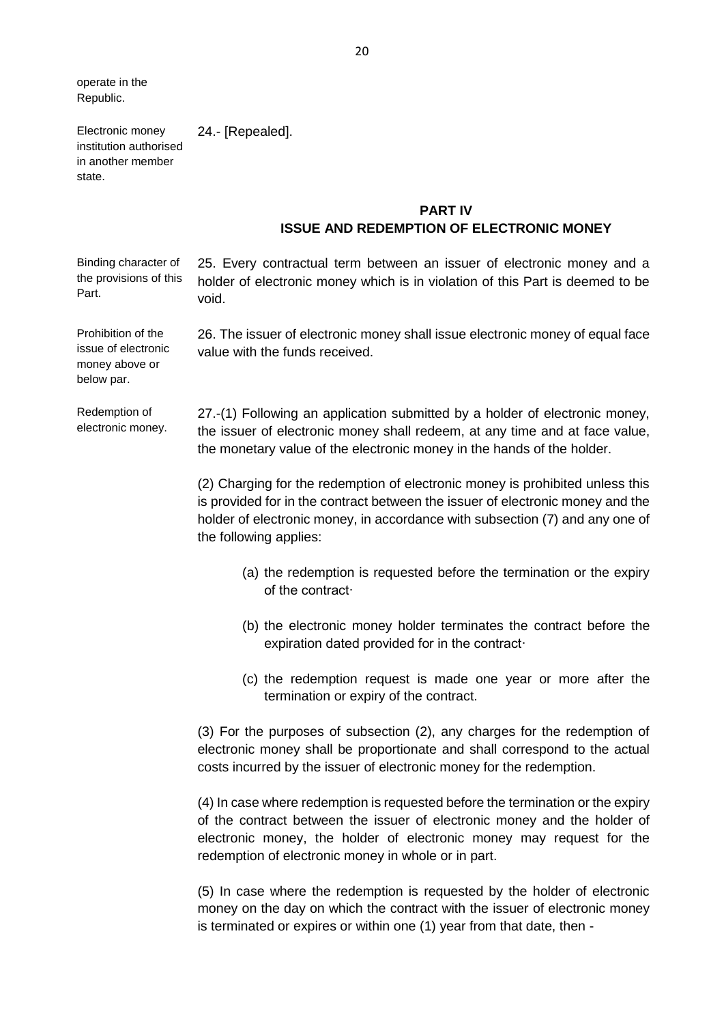operate in the Republic.

Electronic money

Prohibition of the

money above or below par.

24.- [Repealed].

institution authorised in another member state.

# **PART IV ISSUE AND REDEMPTION OF ELECTRONIC MONEY**

Binding character of the provisions of this Part. 25. Every contractual term between an issuer of electronic money and a holder of electronic money which is in violation of this Part is deemed to be void.

issue of electronic 26. The issuer of electronic money shall issue electronic money of equal face value with the funds received.

Redemption of electronic money. 27.-(1) Following an application submitted by a holder of electronic money, the issuer of electronic money shall redeem, at any time and at face value, the monetary value of the electronic money in the hands of the holder.

> (2) Charging for the redemption of electronic money is prohibited unless this is provided for in the contract between the issuer of electronic money and the holder of electronic money, in accordance with subsection (7) and any one of the following applies:

- (a) the redemption is requested before the termination or the expiry of the contract·
- (b) the electronic money holder terminates the contract before the expiration dated provided for in the contract·
- (c) the redemption request is made one year or more after the termination or expiry of the contract.

(3) For the purposes of subsection (2), any charges for the redemption of electronic money shall be proportionate and shall correspond to the actual costs incurred by the issuer of electronic money for the redemption.

(4) In case where redemption is requested before the termination or the expiry of the contract between the issuer of electronic money and the holder of electronic money, the holder of electronic money may request for the redemption of electronic money in whole or in part.

(5) In case where the redemption is requested by the holder of electronic money on the day on which the contract with the issuer of electronic money is terminated or expires or within one (1) year from that date, then -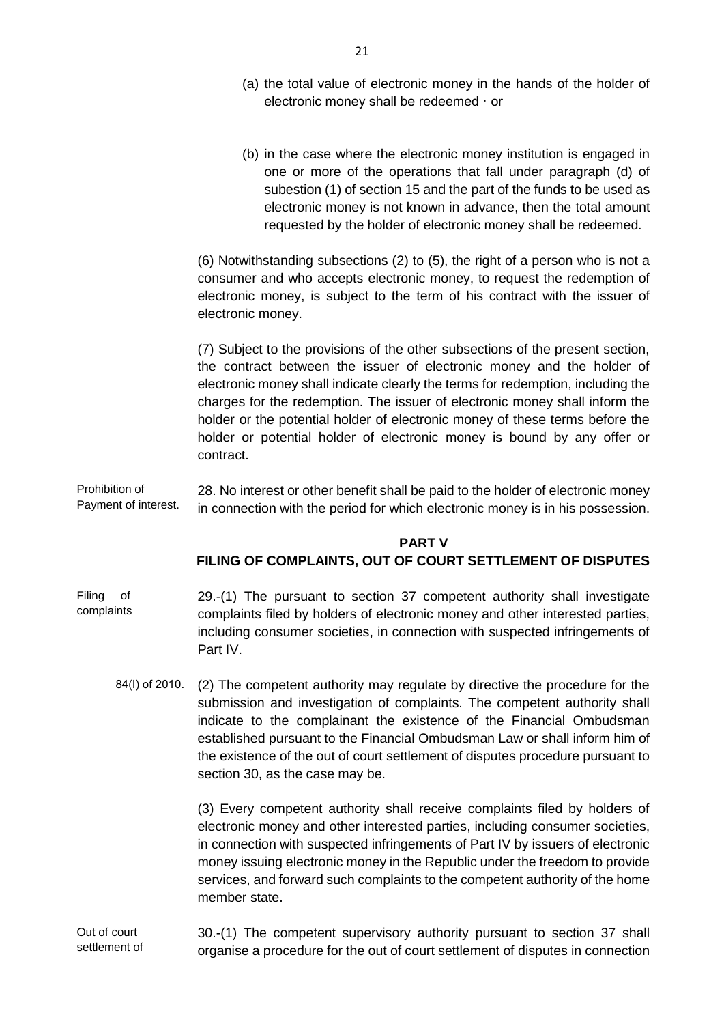- (a) the total value of electronic money in the hands of the holder of electronic money shall be redeemed · or
- (b) in the case where the electronic money institution is engaged in one or more of the operations that fall under paragraph (d) of subestion (1) of section 15 and the part of the funds to be used as electronic money is not known in advance, then the total amount requested by the holder of electronic money shall be redeemed.

(6) Notwithstanding subsections (2) to (5), the right of a person who is not a consumer and who accepts electronic money, to request the redemption of electronic money, is subject to the term of his contract with the issuer of electronic money.

(7) Subject to the provisions of the other subsections of the present section, the contract between the issuer of electronic money and the holder of electronic money shall indicate clearly the terms for redemption, including the charges for the redemption. The issuer of electronic money shall inform the holder or the potential holder of electronic money of these terms before the holder or potential holder of electronic money is bound by any offer or contract.

Prohibition of Payment of interest. 28. No interest or other benefit shall be paid to the holder of electronic money in connection with the period for which electronic money is in his possession.

### **PART V**

### **FILING OF COMPLAINTS, OUT OF COURT SETTLEMENT OF DISPUTES**

- Filing of complaints 29.-(1) The pursuant to section 37 competent authority shall investigate complaints filed by holders of electronic money and other interested parties, including consumer societies, in connection with suspected infringements of Part IV.
	- 84(I) of 2010. (2) The competent authority may regulate by directive the procedure for the submission and investigation of complaints. The competent authority shall indicate to the complainant the existence of the Financial Ombudsman established pursuant to the Financial Ombudsman Law or shall inform him of the existence of the out of court settlement of disputes procedure pursuant to section 30, as the case may be.

(3) Every competent authority shall receive complaints filed by holders of electronic money and other interested parties, including consumer societies, in connection with suspected infringements of Part IV by issuers of electronic money issuing electronic money in the Republic under the freedom to provide services, and forward such complaints to the competent authority of the home member state.

Out of court settlement of 30.-(1) The competent supervisory authority pursuant to section 37 shall organise a procedure for the out of court settlement of disputes in connection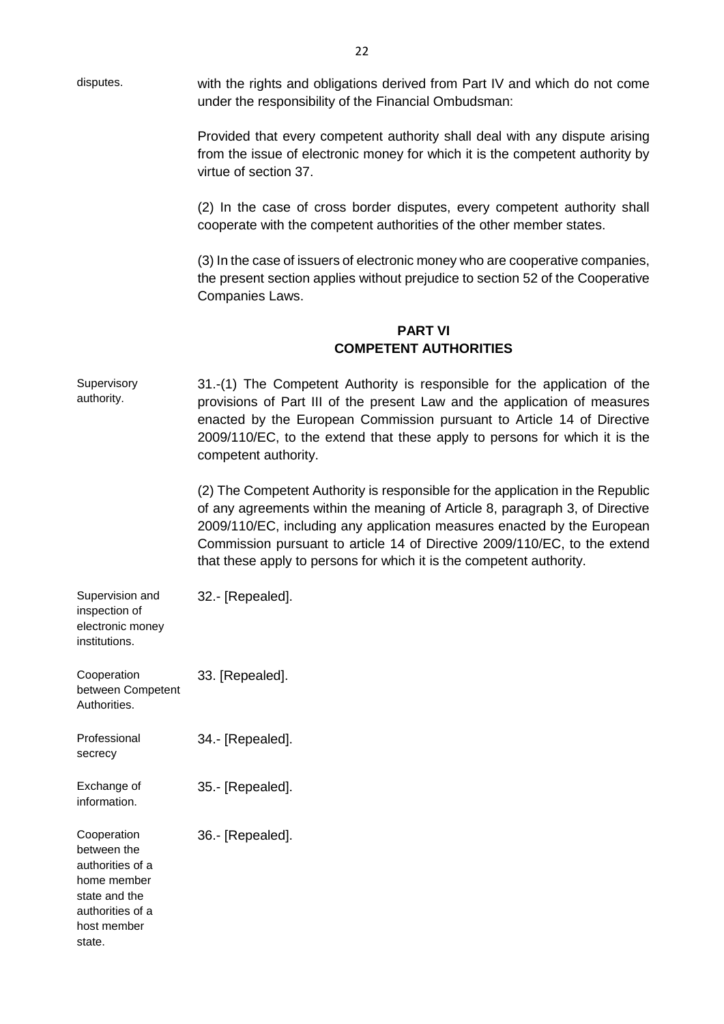disputes. with the rights and obligations derived from Part IV and which do not come under the responsibility of the Financial Ombudsman: Provided that every competent authority shall deal with any dispute arising from the issue of electronic money for which it is the competent authority by virtue of section 37. (2) In the case of cross border disputes, every competent authority shall cooperate with the competent authorities of the other member states. (3) In the case of issuers of electronic money who are cooperative companies, the present section applies without prejudice to section 52 of the Cooperative Companies Laws. **PART VI COMPETENT AUTHORITIES** Supervisory authority. 31.-(1) The Competent Authority is responsible for the application of the provisions of Part III of the present Law and the application of measures enacted by the European Commission pursuant to Article 14 of Directive 2009/110/EC, to the extend that these apply to persons for which it is the competent authority. (2) The Competent Authority is responsible for the application in the Republic of any agreements within the meaning of Article 8, paragraph 3, of Directive 2009/110/EC, including any application measures enacted by the European Commission pursuant to article 14 of Directive 2009/110/EC, to the extend that these apply to persons for which it is the competent authority. Supervision and inspection of electronic money institutions. 32.- [Repealed]. **Cooperation** between Competent Authorities. 33. [Repealed]. Professional secrecy 34.- [Repealed]. Exchange of information. 35.- [Repealed]. Cooperation between the authorities of a home member state and the authorities of a host member 36.- [Repealed].

state.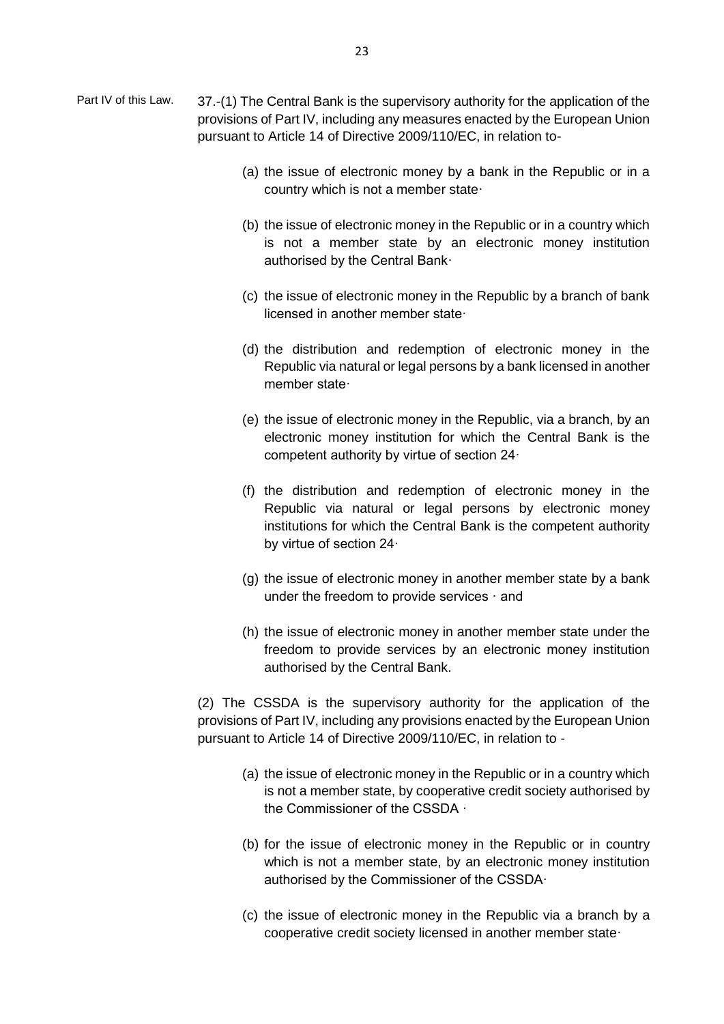- Part IV of this Law. 37.-(1) The Central Bank is the supervisory authority for the application of the provisions of Part IV, including any measures enacted by the European Union pursuant to Article 14 of Directive 2009/110/EC, in relation to-
	- (a) the issue of electronic money by a bank in the Republic or in a country which is not a member state·
	- (b) the issue of electronic money in the Republic or in a country which is not a member state by an electronic money institution authorised by the Central Bank·
	- (c) the issue of electronic money in the Republic by a branch of bank licensed in another member state·
	- (d) the distribution and redemption of electronic money in the Republic via natural or legal persons by a bank licensed in another member state·
	- (e) the issue of electronic money in the Republic, via a branch, by an electronic money institution for which the Central Bank is the competent authority by virtue of section 24·
	- (f) the distribution and redemption of electronic money in the Republic via natural or legal persons by electronic money institutions for which the Central Bank is the competent authority by virtue of section 24·
	- (g) the issue of electronic money in another member state by a bank under the freedom to provide services · and
	- (h) the issue of electronic money in another member state under the freedom to provide services by an electronic money institution authorised by the Central Bank.

(2) The CSSDA is the supervisory authority for the application of the provisions of Part IV, including any provisions enacted by the European Union pursuant to Article 14 of Directive 2009/110/EC, in relation to -

- (a) the issue of electronic money in the Republic or in a country which is not a member state, by cooperative credit society authorised by the Commissioner of the CSSDA ·
- (b) for the issue of electronic money in the Republic or in country which is not a member state, by an electronic money institution authorised by the Commissioner of the CSSDA·
- (c) the issue of electronic money in the Republic via a branch by a cooperative credit society licensed in another member state·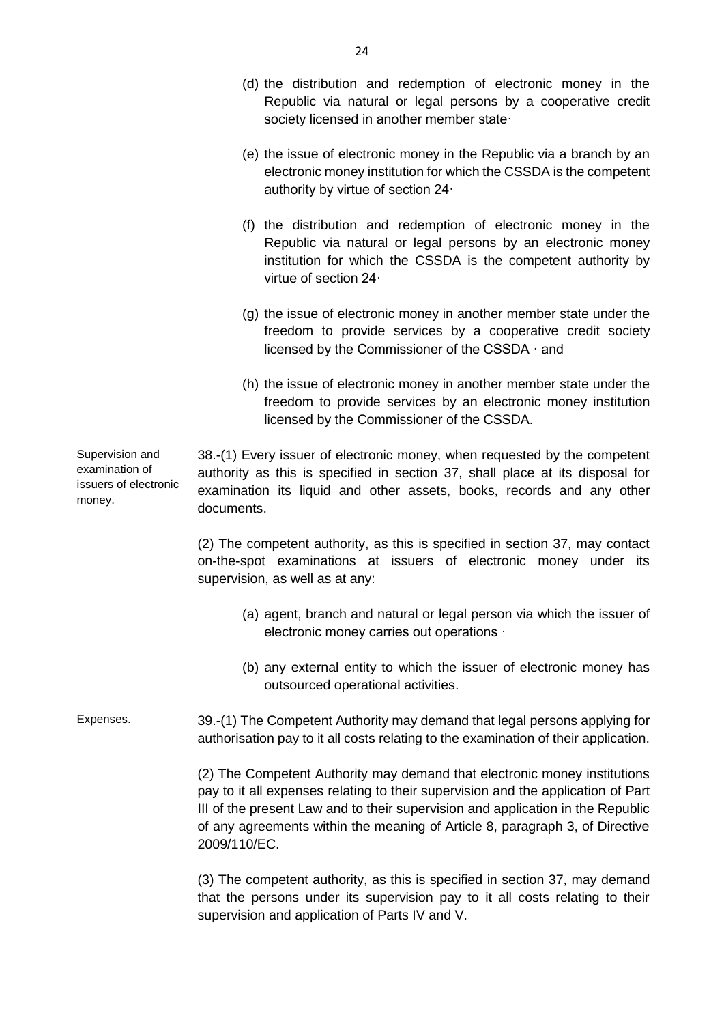- (d) the distribution and redemption of electronic money in the Republic via natural or legal persons by a cooperative credit society licensed in another member state·
- (e) the issue of electronic money in the Republic via a branch by an electronic money institution for which the CSSDA is the competent authority by virtue of section 24·
- (f) the distribution and redemption of electronic money in the Republic via natural or legal persons by an electronic money institution for which the CSSDA is the competent authority by virtue of section 24·
- (g) the issue of electronic money in another member state under the freedom to provide services by a cooperative credit society licensed by the Commissioner of the CSSDA · and
- (h) the issue of electronic money in another member state under the freedom to provide services by an electronic money institution licensed by the Commissioner of the CSSDA.

Supervision and examination of issuers of electronic 38.-(1) Every issuer of electronic money, when requested by the competent authority as this is specified in section 37, shall place at its disposal for examination its liquid and other assets, books, records and any other documents.

money.

(2) The competent authority, as this is specified in section 37, may contact on-the-spot examinations at issuers of electronic money under its supervision, as well as at any:

- (a) agent, branch and natural or legal person via which the issuer of electronic money carries out operations ·
- (b) any external entity to which the issuer of electronic money has outsourced operational activities.

Expenses. 39.-(1) The Competent Authority may demand that legal persons applying for authorisation pay to it all costs relating to the examination of their application.

> (2) The Competent Authority may demand that electronic money institutions pay to it all expenses relating to their supervision and the application of Part III of the present Law and to their supervision and application in the Republic of any agreements within the meaning of Article 8, paragraph 3, of Directive 2009/110/EC.

> (3) The competent authority, as this is specified in section 37, may demand that the persons under its supervision pay to it all costs relating to their supervision and application of Parts IV and V.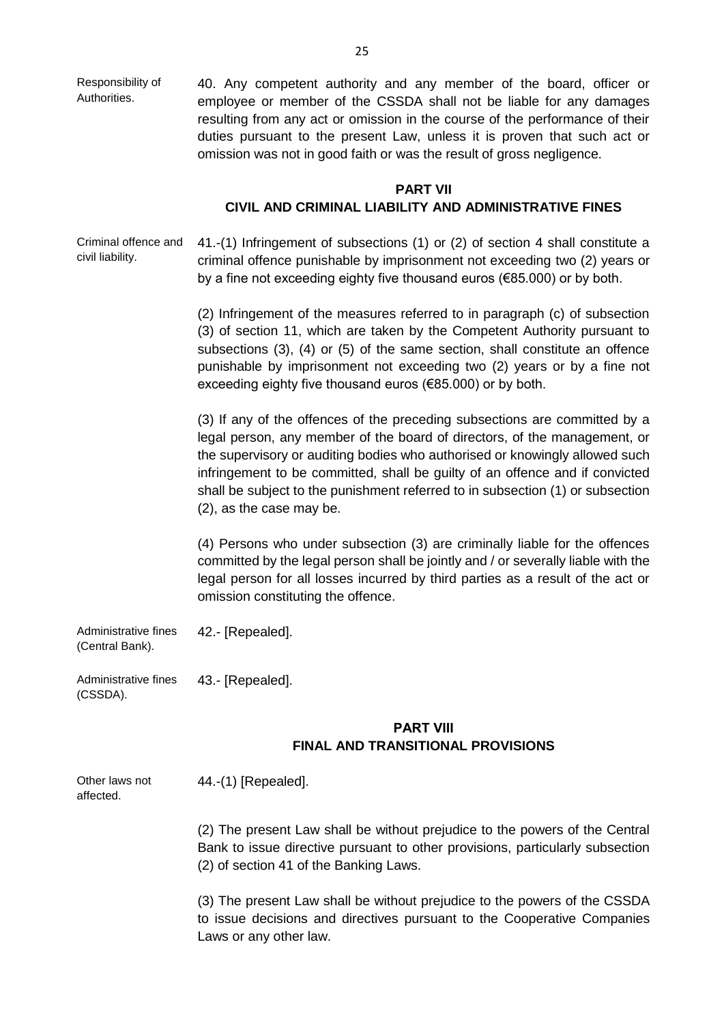Responsibility of Authorities. 40. Any competent authority and any member of the board, officer or employee or member of the CSSDA shall not be liable for any damages resulting from any act or omission in the course of the performance of their duties pursuant to the present Law, unless it is proven that such act or omission was not in good faith or was the result of gross negligence.

### **PART VII**

## **CIVIL AND CRIMINAL LIABILITY AND ADMINISTRATIVE FINES**

Criminal offence and civil liability. 41.-(1) Infringement of subsections (1) or (2) of section 4 shall constitute a criminal offence punishable by imprisonment not exceeding two (2) years or by a fine not exceeding eighty five thousand euros (€85.000) or by both.

> (2) Infringement of the measures referred to in paragraph (c) of subsection (3) of section 11, which are taken by the Competent Authority pursuant to subsections (3), (4) or (5) of the same section, shall constitute an offence punishable by imprisonment not exceeding two (2) years or by a fine not exceeding eighty five thousand euros (€85.000) or by both.

> (3) If any of the offences of the preceding subsections are committed by a legal person, any member of the board of directors, of the management, or the supervisory or auditing bodies who authorised or knowingly allowed such infringement to be committed, shall be guilty of an offence and if convicted shall be subject to the punishment referred to in subsection (1) or subsection (2), as the case may be.

> (4) Persons who under subsection (3) are criminally liable for the offences committed by the legal person shall be jointly and / or severally liable with the legal person for all losses incurred by third parties as a result of the act or omission constituting the offence.

Administrative fines (Central Bank). 42.- [Repealed].

Administrative fines (CSSDA). 43.- [Repealed].

## **PART VIΙΙ FINAL AND TRANSITIONAL PROVISIONS**

Other laws not affected. 44.-(1) [Repealed].

> (2) The present Law shall be without prejudice to the powers of the Central Bank to issue directive pursuant to other provisions, particularly subsection (2) of section 41 of the Banking Laws.

> (3) The present Law shall be without prejudice to the powers of the CSSDA to issue decisions and directives pursuant to the Cooperative Companies Laws or any other law.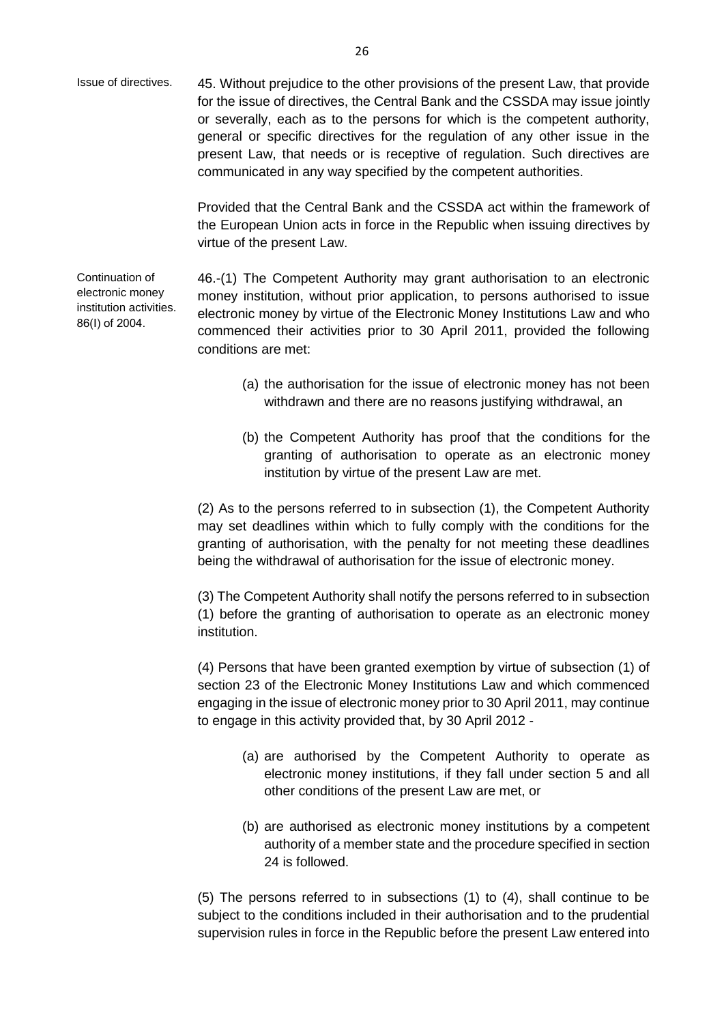Issue of directives. 45. Without prejudice to the other provisions of the present Law, that provide for the issue of directives, the Central Bank and the CSSDA may issue jointly or severally, each as to the persons for which is the competent authority, general or specific directives for the regulation of any other issue in the present Law, that needs or is receptive of regulation. Such directives are communicated in any way specified by the competent authorities.

> Provided that the Central Bank and the CSSDA act within the framework of the European Union acts in force in the Republic when issuing directives by virtue of the present Law.

Continuation of electronic money institution activities. 86(Ι) of 2004. 46.-(1) The Competent Authority may grant authorisation to an electronic money institution, without prior application, to persons authorised to issue electronic money by virtue of the Electronic Money Institutions Law and who commenced their activities prior to 30 April 2011, provided the following conditions are met:

- (a) the authorisation for the issue of electronic money has not been withdrawn and there are no reasons justifying withdrawal, an
- (b) the Competent Authority has proof that the conditions for the granting of authorisation to operate as an electronic money institution by virtue of the present Law are met.

(2) As to the persons referred to in subsection (1), the Competent Authority may set deadlines within which to fully comply with the conditions for the granting of authorisation, with the penalty for not meeting these deadlines being the withdrawal of authorisation for the issue of electronic money.

(3) The Competent Authority shall notify the persons referred to in subsection (1) before the granting of authorisation to operate as an electronic money institution.

(4) Persons that have been granted exemption by virtue of subsection (1) of section 23 of the Electronic Money Institutions Law and which commenced engaging in the issue of electronic money prior to 30 April 2011, may continue to engage in this activity provided that, by 30 April 2012 -

- (a) are authorised by the Competent Authority to operate as electronic money institutions, if they fall under section 5 and all other conditions of the present Law are met, or
- (b) are authorised as electronic money institutions by a competent authority of a member state and the procedure specified in section 24 is followed.

(5) The persons referred to in subsections (1) to (4), shall continue to be subject to the conditions included in their authorisation and to the prudential supervision rules in force in the Republic before the present Law entered into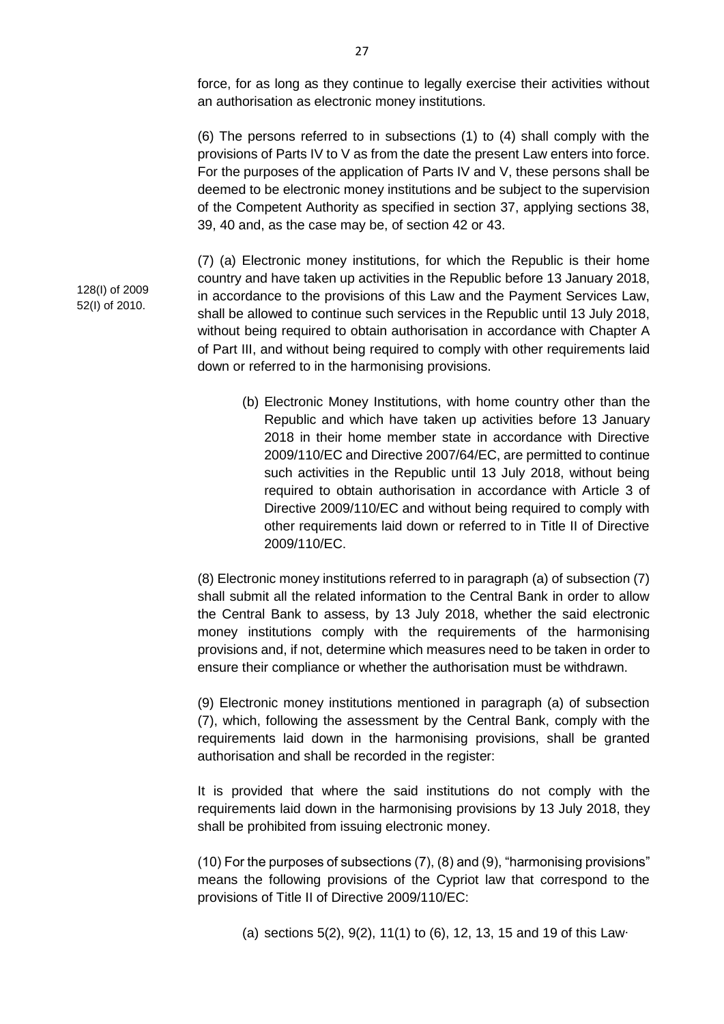force, for as long as they continue to legally exercise their activities without an authorisation as electronic money institutions.

(6) The persons referred to in subsections (1) to (4) shall comply with the provisions of Parts IV to V as from the date the present Law enters into force. For the purposes of the application of Parts IV and V, these persons shall be deemed to be electronic money institutions and be subject to the supervision of the Competent Authority as specified in section 37, applying sections 38, 39, 40 and, as the case may be, of section 42 or 43.

(7) (a) Electronic money institutions, for which the Republic is their home country and have taken up activities in the Republic before 13 January 2018, in accordance to the provisions of this Law and the Payment Services Law, shall be allowed to continue such services in the Republic until 13 July 2018, without being required to obtain authorisation in accordance with Chapter A of Part III, and without being required to comply with other requirements laid down or referred to in the harmonising provisions.

(b) Electronic Money Institutions, with home country other than the Republic and which have taken up activities before 13 January 2018 in their home member state in accordance with Directive 2009/110/EC and Directive 2007/64/EC, are permitted to continue such activities in the Republic until 13 July 2018, without being required to obtain authorisation in accordance with Article 3 of Directive 2009/110/EC and without being required to comply with other requirements laid down or referred to in Title II of Directive 2009/110/EC.

(8) Electronic money institutions referred to in paragraph (a) of subsection (7) shall submit all the related information to the Central Bank in order to allow the Central Bank to assess, by 13 July 2018, whether the said electronic money institutions comply with the requirements of the harmonising provisions and, if not, determine which measures need to be taken in order to ensure their compliance or whether the authorisation must be withdrawn.

(9) Electronic money institutions mentioned in paragraph (a) of subsection (7), which, following the assessment by the Central Bank, comply with the requirements laid down in the harmonising provisions, shall be granted authorisation and shall be recorded in the register:

It is provided that where the said institutions do not comply with the requirements laid down in the harmonising provisions by 13 July 2018, they shall be prohibited from issuing electronic money.

(10) For the purposes of subsections (7), (8) and (9), "harmonising provisions" means the following provisions of the Cypriot law that correspond to the provisions of Title II of Directive 2009/110/EC:

(a) sections 5(2), 9(2), 11(1) to (6), 12, 13, 15 and 19 of this Law∙

128(I) of 2009 52(I) of 2010.